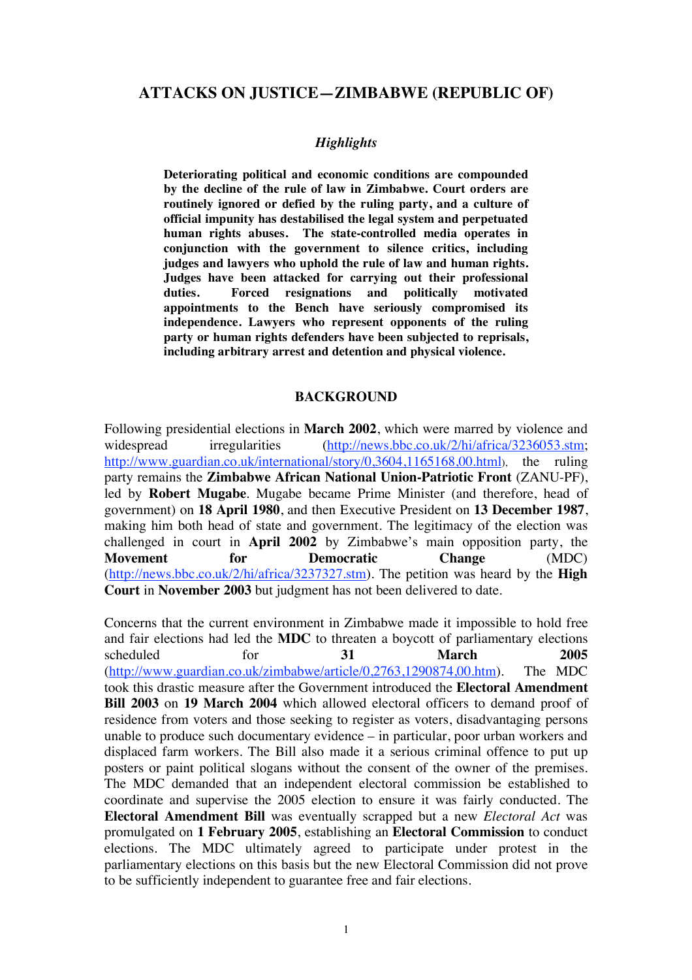## **ATTACKS ON JUSTICE—ZIMBABWE (REPUBLIC OF)**

### *Highlights*

**Deteriorating political and economic conditions are compounded by the decline of the rule of law in Zimbabwe. Court orders are routinely ignored or defied by the ruling party, and a culture of official impunity has destabilised the legal system and perpetuated human rights abuses. The state-controlled media operates in conjunction with the government to silence critics, including judges and lawyers who uphold the rule of law and human rights. Judges have been attacked for carrying out their professional duties. Forced resignations and politically motivated appointments to the Bench have seriously compromised its independence. Lawyers who represent opponents of the ruling party or human rights defenders have been subjected to reprisals, including arbitrary arrest and detention and physical violence.** 

### **BACKGROUND**

Following presidential elections in **March 2002**, which were marred by violence and widespread irregularities (http://news.bbc.co.uk/2/hi/africa/3236053.stm; http://www.guardian.co.uk/international/story/0,3604,1165168,00.html), the ruling party remains the **Zimbabwe African National Union-Patriotic Front** (ZANU-PF), led by **Robert Mugabe**. Mugabe became Prime Minister (and therefore, head of government) on **18 April 1980**, and then Executive President on **13 December 1987**, making him both head of state and government. The legitimacy of the election was challenged in court in **April 2002** by Zimbabwe's main opposition party, the **Movement** for **Democratic** Change (MDC) for **Democratic Change** (MDC) (http://news.bbc.co.uk/2/hi/africa/3237327.stm). The petition was heard by the **High Court** in **November 2003** but judgment has not been delivered to date.

Concerns that the current environment in Zimbabwe made it impossible to hold free and fair elections had led the **MDC** to threaten a boycott of parliamentary elections scheduled for **31 March 2005** (http://www.guardian.co.uk/zimbabwe/article/0,2763,1290874,00.htm). The MDC took this drastic measure after the Government introduced the **Electoral Amendment Bill 2003** on **19 March 2004** which allowed electoral officers to demand proof of residence from voters and those seeking to register as voters, disadvantaging persons unable to produce such documentary evidence – in particular, poor urban workers and displaced farm workers. The Bill also made it a serious criminal offence to put up posters or paint political slogans without the consent of the owner of the premises. The MDC demanded that an independent electoral commission be established to coordinate and supervise the 2005 election to ensure it was fairly conducted. The **Electoral Amendment Bill** was eventually scrapped but a new *Electoral Act* was promulgated on **1 February 2005**, establishing an **Electoral Commission** to conduct elections. The MDC ultimately agreed to participate under protest in the parliamentary elections on this basis but the new Electoral Commission did not prove to be sufficiently independent to guarantee free and fair elections.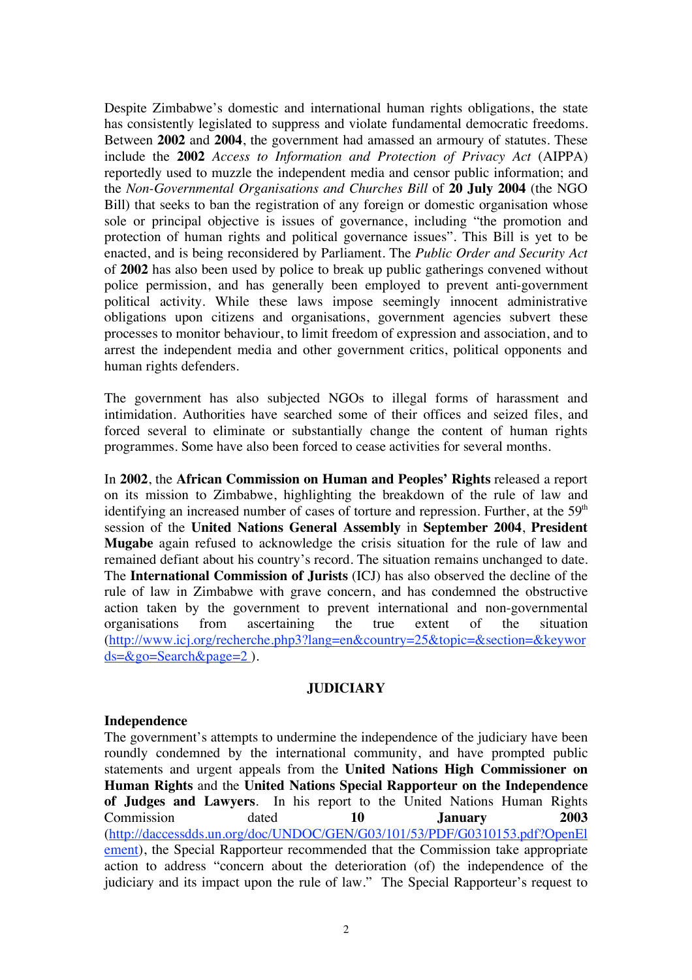Despite Zimbabwe's domestic and international human rights obligations, the state has consistently legislated to suppress and violate fundamental democratic freedoms. Between **2002** and **2004**, the government had amassed an armoury of statutes. These include the **2002** *Access to Information and Protection of Privacy Act* (AIPPA) reportedly used to muzzle the independent media and censor public information; and the *Non-Governmental Organisations and Churches Bill* of **20 July 2004** (the NGO Bill) that seeks to ban the registration of any foreign or domestic organisation whose sole or principal objective is issues of governance, including "the promotion and protection of human rights and political governance issues". This Bill is yet to be enacted, and is being reconsidered by Parliament. The *Public Order and Security Act* of **2002** has also been used by police to break up public gatherings convened without police permission, and has generally been employed to prevent anti-government political activity. While these laws impose seemingly innocent administrative obligations upon citizens and organisations, government agencies subvert these processes to monitor behaviour, to limit freedom of expression and association, and to arrest the independent media and other government critics, political opponents and human rights defenders.

The government has also subjected NGOs to illegal forms of harassment and intimidation. Authorities have searched some of their offices and seized files, and forced several to eliminate or substantially change the content of human rights programmes. Some have also been forced to cease activities for several months.

In **2002**, the **African Commission on Human and Peoples' Rights** released a report on its mission to Zimbabwe, highlighting the breakdown of the rule of law and identifying an increased number of cases of torture and repression. Further, at the  $59<sup>th</sup>$ session of the **United Nations General Assembly** in **September 2004**, **President Mugabe** again refused to acknowledge the crisis situation for the rule of law and remained defiant about his country's record. The situation remains unchanged to date. The **International Commission of Jurists** (ICJ) has also observed the decline of the rule of law in Zimbabwe with grave concern, and has condemned the obstructive action taken by the government to prevent international and non-governmental organisations from ascertaining the true extent of the situation (http://www.icj.org/recherche.php3?lang=en&country=25&topic=&section=&keywor ds=&go=Search&page=2 ).

## **JUDICIARY**

### **Independence**

The government's attempts to undermine the independence of the judiciary have been roundly condemned by the international community, and have prompted public statements and urgent appeals from the **United Nations High Commissioner on Human Rights** and the **United Nations Special Rapporteur on the Independence of Judges and Lawyers**. In his report to the United Nations Human Rights Commission dated **10 January 2003** (http://daccessdds.un.org/doc/UNDOC/GEN/G03/101/53/PDF/G0310153.pdf?OpenEl ement), the Special Rapporteur recommended that the Commission take appropriate action to address "concern about the deterioration (of) the independence of the judiciary and its impact upon the rule of law." The Special Rapporteur's request to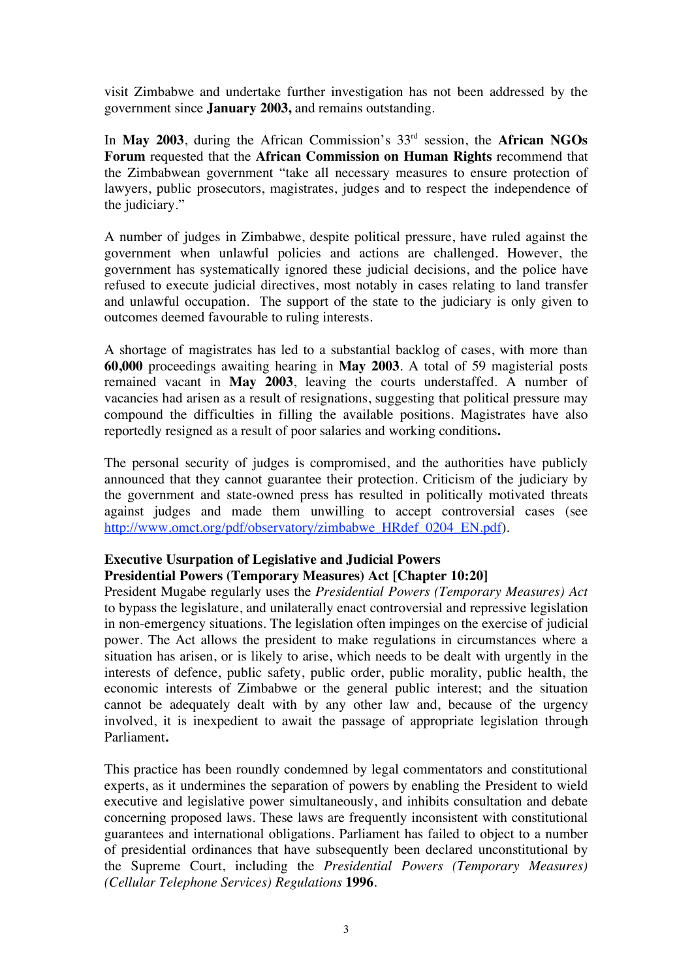visit Zimbabwe and undertake further investigation has not been addressed by the government since **January 2003,** and remains outstanding.

In **May 2003**, during the African Commission's 33<sup>rd</sup> session, the **African NGOs Forum** requested that the **African Commission on Human Rights** recommend that the Zimbabwean government "take all necessary measures to ensure protection of lawyers, public prosecutors, magistrates, judges and to respect the independence of the judiciary."

A number of judges in Zimbabwe, despite political pressure, have ruled against the government when unlawful policies and actions are challenged. However, the government has systematically ignored these judicial decisions, and the police have refused to execute judicial directives, most notably in cases relating to land transfer and unlawful occupation. The support of the state to the judiciary is only given to outcomes deemed favourable to ruling interests.

A shortage of magistrates has led to a substantial backlog of cases, with more than **60,000** proceedings awaiting hearing in **May 2003**. A total of 59 magisterial posts remained vacant in **May 2003**, leaving the courts understaffed. A number of vacancies had arisen as a result of resignations, suggesting that political pressure may compound the difficulties in filling the available positions. Magistrates have also reportedly resigned as a result of poor salaries and working conditions**.**

The personal security of judges is compromised, and the authorities have publicly announced that they cannot guarantee their protection. Criticism of the judiciary by the government and state-owned press has resulted in politically motivated threats against judges and made them unwilling to accept controversial cases (see http://www.omct.org/pdf/observatory/zimbabwe\_HRdef\_0204\_EN.pdf).

# **Executive Usurpation of Legislative and Judicial Powers Presidential Powers (Temporary Measures) Act [Chapter 10:20]**

President Mugabe regularly uses the *Presidential Powers (Temporary Measures) Act* to bypass the legislature, and unilaterally enact controversial and repressive legislation in non-emergency situations. The legislation often impinges on the exercise of judicial power. The Act allows the president to make regulations in circumstances where a situation has arisen, or is likely to arise, which needs to be dealt with urgently in the interests of defence, public safety, public order, public morality, public health, the economic interests of Zimbabwe or the general public interest; and the situation cannot be adequately dealt with by any other law and, because of the urgency involved, it is inexpedient to await the passage of appropriate legislation through Parliament**.** 

This practice has been roundly condemned by legal commentators and constitutional experts, as it undermines the separation of powers by enabling the President to wield executive and legislative power simultaneously, and inhibits consultation and debate concerning proposed laws. These laws are frequently inconsistent with constitutional guarantees and international obligations. Parliament has failed to object to a number of presidential ordinances that have subsequently been declared unconstitutional by the Supreme Court, including the *Presidential Powers (Temporary Measures) (Cellular Telephone Services) Regulations* **1996***.*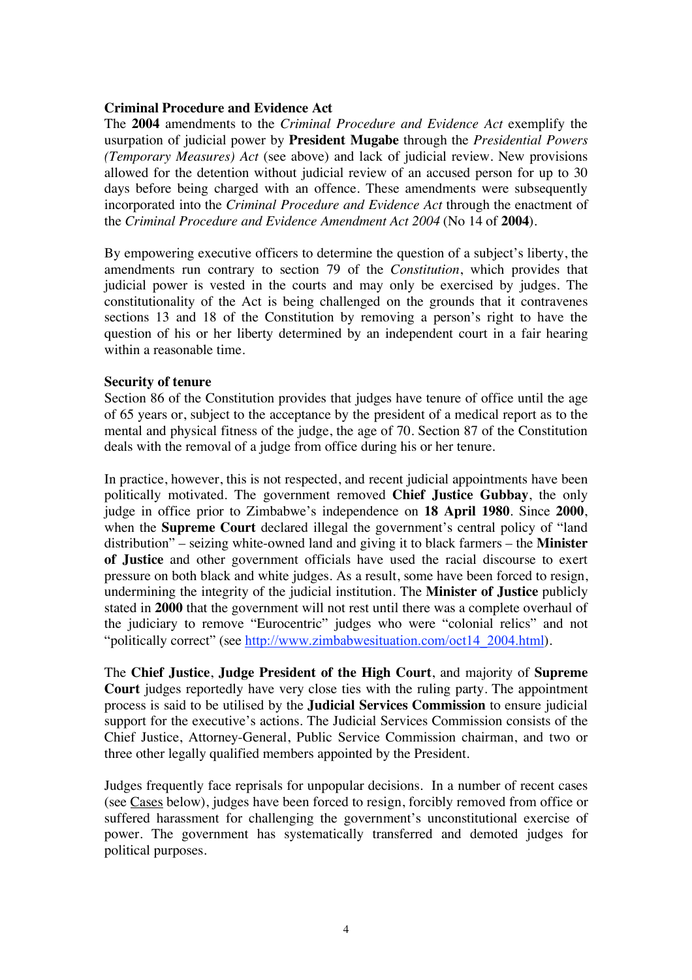### **Criminal Procedure and Evidence Act**

The **2004** amendments to the *Criminal Procedure and Evidence Act* exemplify the usurpation of judicial power by **President Mugabe** through the *Presidential Powers (Temporary Measures) Act* (see above) and lack of judicial review. New provisions allowed for the detention without judicial review of an accused person for up to 30 days before being charged with an offence. These amendments were subsequently incorporated into the *Criminal Procedure and Evidence Act* through the enactment of the *Criminal Procedure and Evidence Amendment Act 2004* (No 14 of **2004**).

By empowering executive officers to determine the question of a subject's liberty, the amendments run contrary to section 79 of the *Constitution*, which provides that judicial power is vested in the courts and may only be exercised by judges. The constitutionality of the Act is being challenged on the grounds that it contravenes sections 13 and 18 of the Constitution by removing a person's right to have the question of his or her liberty determined by an independent court in a fair hearing within a reasonable time.

### **Security of tenure**

Section 86 of the Constitution provides that judges have tenure of office until the age of 65 years or, subject to the acceptance by the president of a medical report as to the mental and physical fitness of the judge, the age of 70. Section 87 of the Constitution deals with the removal of a judge from office during his or her tenure.

In practice, however, this is not respected, and recent judicial appointments have been politically motivated. The government removed **Chief Justice Gubbay**, the only judge in office prior to Zimbabwe's independence on **18 April 1980**. Since **2000**, when the **Supreme Court** declared illegal the government's central policy of "land distribution" – seizing white-owned land and giving it to black farmers – the **Minister of Justice** and other government officials have used the racial discourse to exert pressure on both black and white judges. As a result, some have been forced to resign, undermining the integrity of the judicial institution. The **Minister of Justice** publicly stated in **2000** that the government will not rest until there was a complete overhaul of the judiciary to remove "Eurocentric" judges who were "colonial relics" and not "politically correct" (see http://www.zimbabwesituation.com/oct14\_2004.html).

The **Chief Justice**, **Judge President of the High Court**, and majority of **Supreme Court** judges reportedly have very close ties with the ruling party. The appointment process is said to be utilised by the **Judicial Services Commission** to ensure judicial support for the executive's actions. The Judicial Services Commission consists of the Chief Justice, Attorney-General, Public Service Commission chairman, and two or three other legally qualified members appointed by the President.

Judges frequently face reprisals for unpopular decisions. In a number of recent cases (see Cases below), judges have been forced to resign, forcibly removed from office or suffered harassment for challenging the government's unconstitutional exercise of power. The government has systematically transferred and demoted judges for political purposes.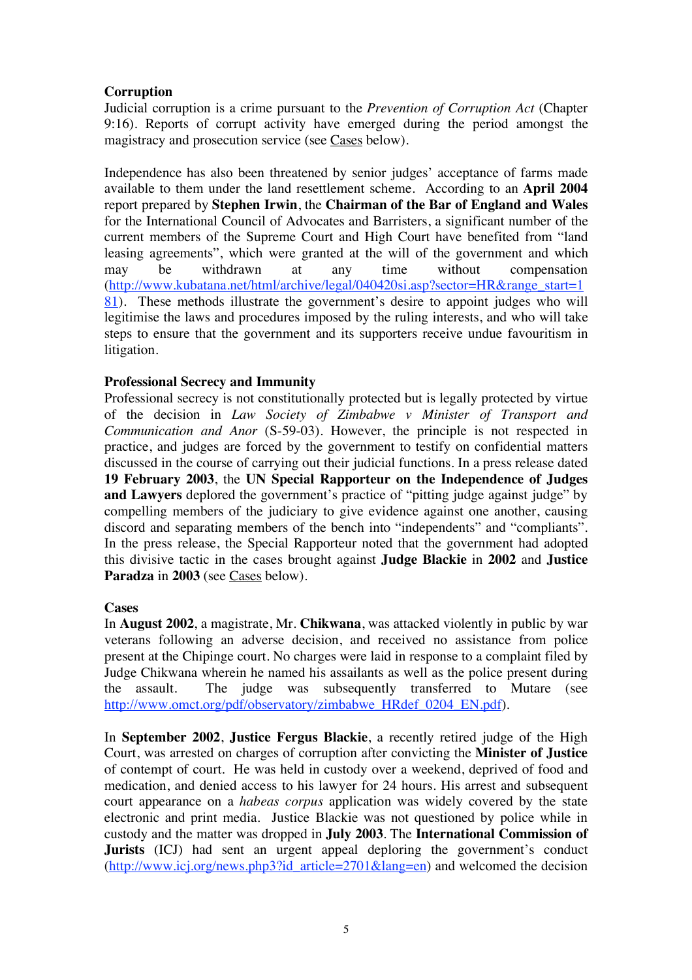# **Corruption**

Judicial corruption is a crime pursuant to the *Prevention of Corruption Act* (Chapter 9:16). Reports of corrupt activity have emerged during the period amongst the magistracy and prosecution service (see Cases below).

Independence has also been threatened by senior judges' acceptance of farms made available to them under the land resettlement scheme. According to an **April 2004** report prepared by **Stephen Irwin**, the **Chairman of the Bar of England and Wales** for the International Council of Advocates and Barristers, a significant number of the current members of the Supreme Court and High Court have benefited from "land leasing agreements", which were granted at the will of the government and which may be withdrawn at any time without compensation (http://www.kubatana.net/html/archive/legal/040420si.asp?sector=HR&range\_start=1 81). These methods illustrate the government's desire to appoint judges who will legitimise the laws and procedures imposed by the ruling interests, and who will take steps to ensure that the government and its supporters receive undue favouritism in litigation.

# **Professional Secrecy and Immunity**

Professional secrecy is not constitutionally protected but is legally protected by virtue of the decision in *Law Society of Zimbabwe v Minister of Transport and Communication and Anor* (S-59-03). However, the principle is not respected in practice, and judges are forced by the government to testify on confidential matters discussed in the course of carrying out their judicial functions. In a press release dated **19 February 2003**, the **UN Special Rapporteur on the Independence of Judges and Lawyers** deplored the government's practice of "pitting judge against judge" by compelling members of the judiciary to give evidence against one another, causing discord and separating members of the bench into "independents" and "compliants". In the press release, the Special Rapporteur noted that the government had adopted this divisive tactic in the cases brought against **Judge Blackie** in **2002** and **Justice Paradza** in **2003** (see Cases below).

## **Cases**

In **August 2002**, a magistrate, Mr. **Chikwana**, was attacked violently in public by war veterans following an adverse decision, and received no assistance from police present at the Chipinge court. No charges were laid in response to a complaint filed by Judge Chikwana wherein he named his assailants as well as the police present during the assault. The judge was subsequently transferred to Mutare (see http://www.omct.org/pdf/observatory/zimbabwe\_HRdef\_0204\_EN.pdf).

In **September 2002**, **Justice Fergus Blackie**, a recently retired judge of the High Court, was arrested on charges of corruption after convicting the **Minister of Justice** of contempt of court. He was held in custody over a weekend, deprived of food and medication, and denied access to his lawyer for 24 hours. His arrest and subsequent court appearance on a *habeas corpus* application was widely covered by the state electronic and print media. Justice Blackie was not questioned by police while in custody and the matter was dropped in **July 2003**. The **International Commission of Jurists** (ICJ) had sent an urgent appeal deploring the government's conduct  $(\frac{http://www.icj.org/news.php3?idarticle=2701⟨=en})$  and welcomed the decision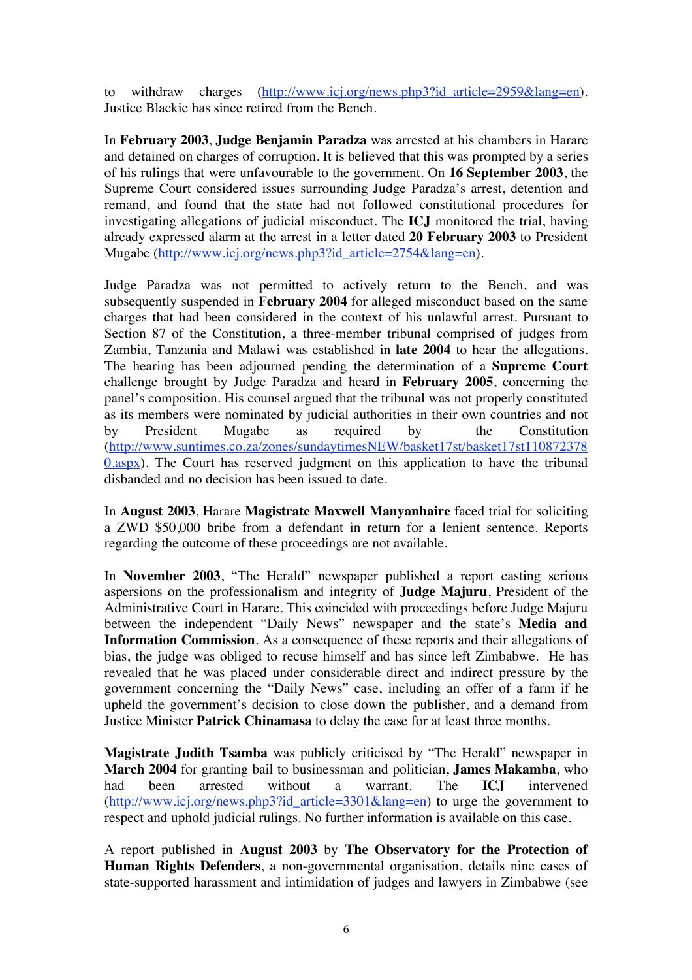to withdraw charges (http://www.icj.org/news.php3?id article=2959&lang=en). Justice Blackie has since retired from the Bench.

In **February 2003**, **Judge Benjamin Paradza** was arrested at his chambers in Harare and detained on charges of corruption. It is believed that this was prompted by a series of his rulings that were unfavourable to the government. On **16 September 2003**, the Supreme Court considered issues surrounding Judge Paradza's arrest, detention and remand, and found that the state had not followed constitutional procedures for investigating allegations of judicial misconduct. The **ICJ** monitored the trial, having already expressed alarm at the arrest in a letter dated **20 February 2003** to President Mugabe (http://www.icj.org/news.php3?id\_article=2754&lang=en).

Judge Paradza was not permitted to actively return to the Bench, and was subsequently suspended in **February 2004** for alleged misconduct based on the same charges that had been considered in the context of his unlawful arrest. Pursuant to Section 87 of the Constitution, a three-member tribunal comprised of judges from Zambia, Tanzania and Malawi was established in **late 2004** to hear the allegations. The hearing has been adjourned pending the determination of a **Supreme Court** challenge brought by Judge Paradza and heard in **February 2005**, concerning the panel's composition. His counsel argued that the tribunal was not properly constituted as its members were nominated by judicial authorities in their own countries and not by President Mugabe as required by the Constitution (http://www.suntimes.co.za/zones/sundaytimesNEW/basket17st/basket17st110872378 0.aspx). The Court has reserved judgment on this application to have the tribunal disbanded and no decision has been issued to date.

In **August 2003**, Harare **Magistrate Maxwell Manyanhaire** faced trial for soliciting a ZWD \$50,000 bribe from a defendant in return for a lenient sentence. Reports regarding the outcome of these proceedings are not available.

In **November 2003**, "The Herald" newspaper published a report casting serious aspersions on the professionalism and integrity of **Judge Majuru**, President of the Administrative Court in Harare. This coincided with proceedings before Judge Majuru between the independent "Daily News" newspaper and the state's **Media and Information Commission**. As a consequence of these reports and their allegations of bias, the judge was obliged to recuse himself and has since left Zimbabwe. He has revealed that he was placed under considerable direct and indirect pressure by the government concerning the "Daily News" case, including an offer of a farm if he upheld the government's decision to close down the publisher, and a demand from Justice Minister **Patrick Chinamasa** to delay the case for at least three months.

**Magistrate Judith Tsamba** was publicly criticised by "The Herald" newspaper in **March 2004** for granting bail to businessman and politician, **James Makamba**, who had been arrested without a warrant. The **ICJ** intervened (http://www.icj.org/news.php3?id\_article=3301&lang=en) to urge the government to respect and uphold judicial rulings. No further information is available on this case.

A report published in **August 2003** by **The Observatory for the Protection of Human Rights Defenders**, a non-governmental organisation, details nine cases of state-supported harassment and intimidation of judges and lawyers in Zimbabwe (see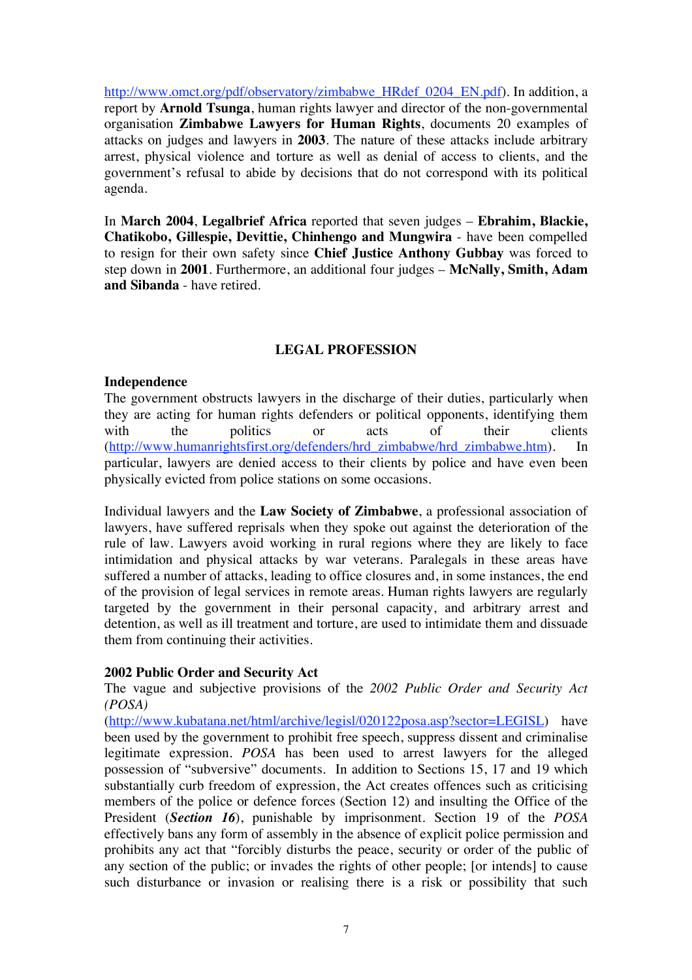http://www.omct.org/pdf/observatory/zimbabwe\_HRdef\_0204\_EN.pdf). In addition, a report by **Arnold Tsunga**, human rights lawyer and director of the non-governmental organisation **Zimbabwe Lawyers for Human Rights**, documents 20 examples of attacks on judges and lawyers in **2003**. The nature of these attacks include arbitrary arrest, physical violence and torture as well as denial of access to clients, and the government's refusal to abide by decisions that do not correspond with its political agenda.

In **March 2004**, **Legalbrief Africa** reported that seven judges – **Ebrahim, Blackie, Chatikobo, Gillespie, Devittie, Chinhengo and Mungwira** - have been compelled to resign for their own safety since **Chief Justice Anthony Gubbay** was forced to step down in **2001**. Furthermore, an additional four judges – **McNally, Smith, Adam and Sibanda** - have retired.

# **LEGAL PROFESSION**

### **Independence**

The government obstructs lawyers in the discharge of their duties, particularly when they are acting for human rights defenders or political opponents, identifying them with the politics or acts of their clients (http://www.humanrightsfirst.org/defenders/hrd\_zimbabwe/hrd\_zimbabwe.htm). In particular, lawyers are denied access to their clients by police and have even been physically evicted from police stations on some occasions.

Individual lawyers and the **Law Society of Zimbabwe**, a professional association of lawyers, have suffered reprisals when they spoke out against the deterioration of the rule of law. Lawyers avoid working in rural regions where they are likely to face intimidation and physical attacks by war veterans. Paralegals in these areas have suffered a number of attacks, leading to office closures and, in some instances, the end of the provision of legal services in remote areas. Human rights lawyers are regularly targeted by the government in their personal capacity, and arbitrary arrest and detention, as well as ill treatment and torture, are used to intimidate them and dissuade them from continuing their activities.

## **2002 Public Order and Security Act**

The vague and subjective provisions of the *2002 Public Order and Security Act (POSA)* 

(http://www.kubatana.net/html/archive/legisl/020122posa.asp?sector=LEGISL) have been used by the government to prohibit free speech, suppress dissent and criminalise legitimate expression. *POSA* has been used to arrest lawyers for the alleged possession of "subversive" documents. In addition to Sections 15, 17 and 19 which substantially curb freedom of expression, the Act creates offences such as criticising members of the police or defence forces (Section 12) and insulting the Office of the President (*Section 16*), punishable by imprisonment. Section 19 of the *POSA* effectively bans any form of assembly in the absence of explicit police permission and prohibits any act that "forcibly disturbs the peace, security or order of the public of any section of the public; or invades the rights of other people; [or intends] to cause such disturbance or invasion or realising there is a risk or possibility that such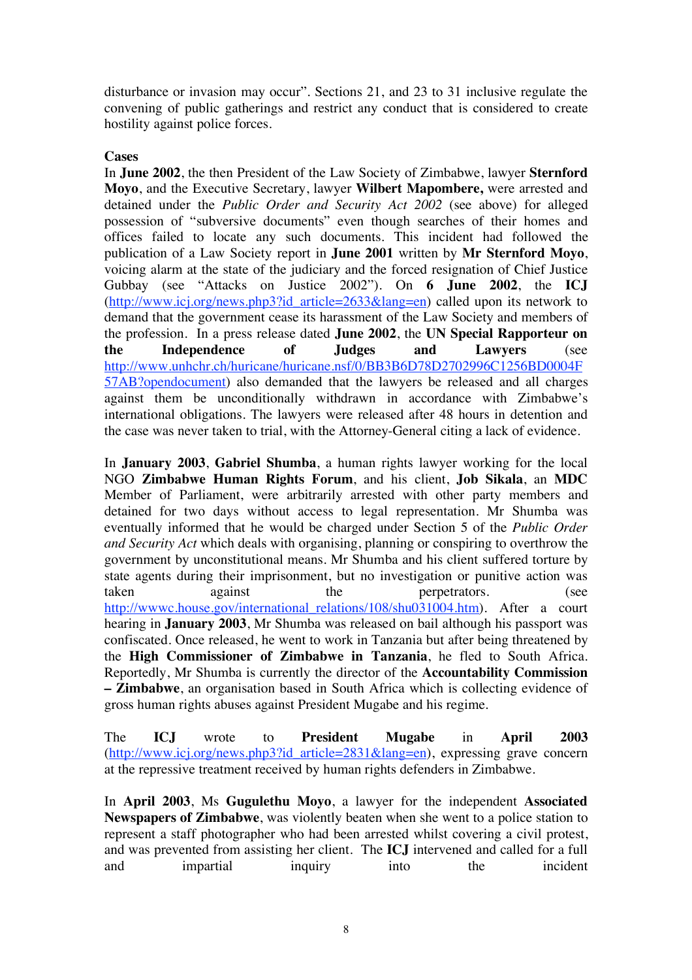disturbance or invasion may occur"*.* Sections 21, and 23 to 31 inclusive regulate the convening of public gatherings and restrict any conduct that is considered to create hostility against police forces.

### **Cases**

In **June 2002**, the then President of the Law Society of Zimbabwe, lawyer **Sternford Moyo**, and the Executive Secretary, lawyer **Wilbert Mapombere,** were arrested and detained under the *Public Order and Security Act 2002* (see above) for alleged possession of "subversive documents" even though searches of their homes and offices failed to locate any such documents. This incident had followed the publication of a Law Society report in **June 2001** written by **Mr Sternford Moyo**, voicing alarm at the state of the judiciary and the forced resignation of Chief Justice Gubbay (see "Attacks on Justice 2002"). On **6 June 2002**, the **ICJ** (http://www.icj.org/news.php3?id\_article=2633&lang=en) called upon its network to demand that the government cease its harassment of the Law Society and members of the profession. In a press release dated **June 2002**, the **UN Special Rapporteur on the Independence of Judges and Lawyers** (see http://www.unhchr.ch/huricane/huricane.nsf/0/BB3B6D78D2702996C1256BD0004F 57AB?opendocument) also demanded that the lawyers be released and all charges against them be unconditionally withdrawn in accordance with Zimbabwe's international obligations. The lawyers were released after 48 hours in detention and the case was never taken to trial, with the Attorney-General citing a lack of evidence.

In **January 2003**, **Gabriel Shumba**, a human rights lawyer working for the local NGO **Zimbabwe Human Rights Forum**, and his client, **Job Sikala**, an **MDC** Member of Parliament, were arbitrarily arrested with other party members and detained for two days without access to legal representation. Mr Shumba was eventually informed that he would be charged under Section 5 of the *Public Order and Security Act* which deals with organising, planning or conspiring to overthrow the government by unconstitutional means. Mr Shumba and his client suffered torture by state agents during their imprisonment, but no investigation or punitive action was taken against the perpetrators. (see http://wwwc.house.gov/international\_relations/108/shu031004.htm). After a court hearing in **January 2003**, Mr Shumba was released on bail although his passport was confiscated. Once released, he went to work in Tanzania but after being threatened by the **High Commissioner of Zimbabwe in Tanzania**, he fled to South Africa. Reportedly, Mr Shumba is currently the director of the **Accountability Commission – Zimbabwe**, an organisation based in South Africa which is collecting evidence of gross human rights abuses against President Mugabe and his regime.

The **ICJ** wrote to **President Mugabe** in **April 2003** (http://www.icj.org/news.php3?id\_article=2831&lang=en), expressing grave concern at the repressive treatment received by human rights defenders in Zimbabwe.

In **April 2003**, Ms **Gugulethu Moyo**, a lawyer for the independent **Associated Newspapers of Zimbabwe**, was violently beaten when she went to a police station to represent a staff photographer who had been arrested whilst covering a civil protest, and was prevented from assisting her client. The **ICJ** intervened and called for a full and impartial inquiry into the incident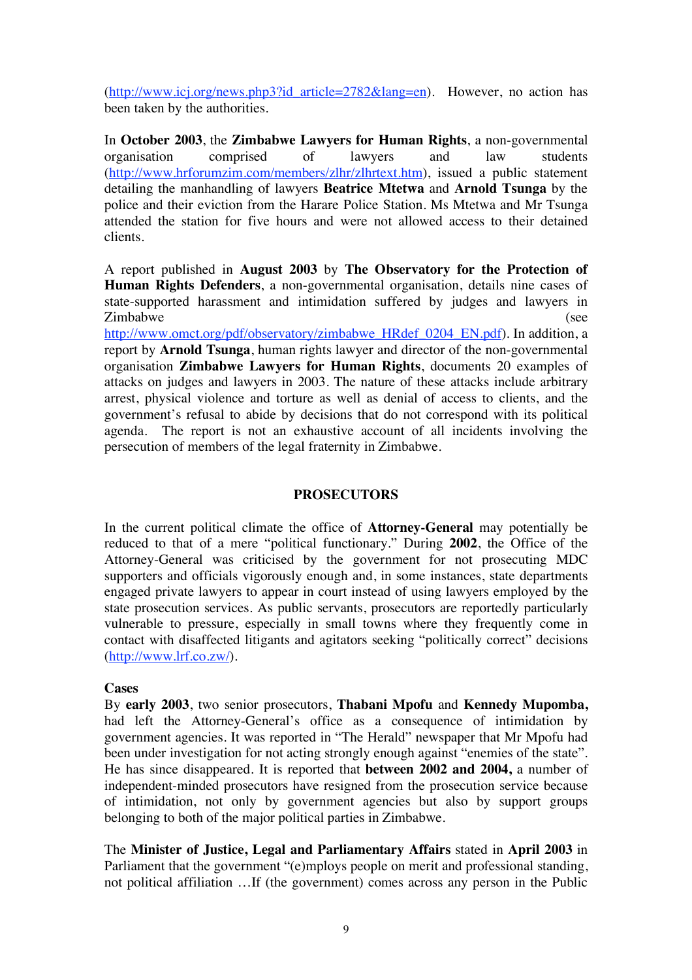(http://www.icj.org/news.php3?id\_article=2782&lang=en). However, no action has been taken by the authorities.

In **October 2003**, the **Zimbabwe Lawyers for Human Rights**, a non-governmental organisation comprised of lawyers and law students (http://www.hrforumzim.com/members/zlhr/zlhrtext.htm), issued a public statement detailing the manhandling of lawyers **Beatrice Mtetwa** and **Arnold Tsunga** by the police and their eviction from the Harare Police Station. Ms Mtetwa and Mr Tsunga attended the station for five hours and were not allowed access to their detained clients.

A report published in **August 2003** by **The Observatory for the Protection of Human Rights Defenders**, a non-governmental organisation, details nine cases of state-supported harassment and intimidation suffered by judges and lawyers in Zimbabwe (see

http://www.omct.org/pdf/observatory/zimbabwe\_HRdef\_0204\_EN.pdf). In addition, a report by **Arnold Tsunga**, human rights lawyer and director of the non-governmental organisation **Zimbabwe Lawyers for Human Rights**, documents 20 examples of attacks on judges and lawyers in 2003. The nature of these attacks include arbitrary arrest, physical violence and torture as well as denial of access to clients, and the government's refusal to abide by decisions that do not correspond with its political agenda. The report is not an exhaustive account of all incidents involving the persecution of members of the legal fraternity in Zimbabwe.

### **PROSECUTORS**

In the current political climate the office of **Attorney-General** may potentially be reduced to that of a mere "political functionary." During **2002**, the Office of the Attorney-General was criticised by the government for not prosecuting MDC supporters and officials vigorously enough and, in some instances, state departments engaged private lawyers to appear in court instead of using lawyers employed by the state prosecution services. As public servants, prosecutors are reportedly particularly vulnerable to pressure, especially in small towns where they frequently come in contact with disaffected litigants and agitators seeking "politically correct" decisions (http://www.lrf.co.zw/).

### **Cases**

By **early 2003**, two senior prosecutors, **Thabani Mpofu** and **Kennedy Mupomba,**  had left the Attorney-General's office as a consequence of intimidation by government agencies. It was reported in "The Herald" newspaper that Mr Mpofu had been under investigation for not acting strongly enough against "enemies of the state". He has since disappeared. It is reported that **between 2002 and 2004,** a number of independent-minded prosecutors have resigned from the prosecution service because of intimidation, not only by government agencies but also by support groups belonging to both of the major political parties in Zimbabwe.

The **Minister of Justice, Legal and Parliamentary Affairs** stated in **April 2003** in Parliament that the government "(e)mploys people on merit and professional standing, not political affiliation …If (the government) comes across any person in the Public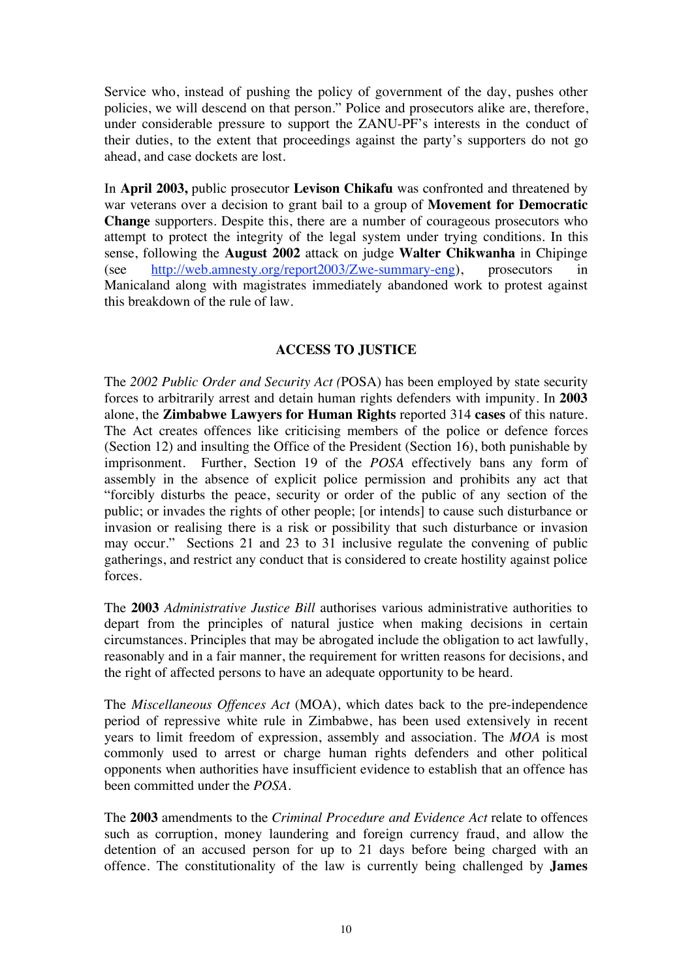Service who, instead of pushing the policy of government of the day, pushes other policies, we will descend on that person." Police and prosecutors alike are, therefore, under considerable pressure to support the ZANU-PF's interests in the conduct of their duties, to the extent that proceedings against the party's supporters do not go ahead, and case dockets are lost.

In **April 2003,** public prosecutor **Levison Chikafu** was confronted and threatened by war veterans over a decision to grant bail to a group of **Movement for Democratic Change** supporters. Despite this, there are a number of courageous prosecutors who attempt to protect the integrity of the legal system under trying conditions. In this sense, following the **August 2002** attack on judge **Walter Chikwanha** in Chipinge (see http://web.amnesty.org/report2003/Zwe-summary-eng), prosecutors in Manicaland along with magistrates immediately abandoned work to protest against this breakdown of the rule of law.

# **ACCESS TO JUSTICE**

The *2002 Public Order and Security Act (*POSA) has been employed by state security forces to arbitrarily arrest and detain human rights defenders with impunity. In **2003** alone, the **Zimbabwe Lawyers for Human Rights** reported 314 **cases** of this nature. The Act creates offences like criticising members of the police or defence forces (Section 12) and insulting the Office of the President (Section 16), both punishable by imprisonment. Further, Section 19 of the *POSA* effectively bans any form of assembly in the absence of explicit police permission and prohibits any act that "forcibly disturbs the peace, security or order of the public of any section of the public; or invades the rights of other people; [or intends] to cause such disturbance or invasion or realising there is a risk or possibility that such disturbance or invasion may occur." Sections 21 and 23 to 31 inclusive regulate the convening of public gatherings, and restrict any conduct that is considered to create hostility against police forces.

The **2003** *Administrative Justice Bill* authorises various administrative authorities to depart from the principles of natural justice when making decisions in certain circumstances. Principles that may be abrogated include the obligation to act lawfully, reasonably and in a fair manner, the requirement for written reasons for decisions, and the right of affected persons to have an adequate opportunity to be heard.

The *Miscellaneous Offences Act* (MOA), which dates back to the pre-independence period of repressive white rule in Zimbabwe, has been used extensively in recent years to limit freedom of expression, assembly and association. The *MOA* is most commonly used to arrest or charge human rights defenders and other political opponents when authorities have insufficient evidence to establish that an offence has been committed under the *POSA*.

The **2003** amendments to the *Criminal Procedure and Evidence Act* relate to offences such as corruption, money laundering and foreign currency fraud, and allow the detention of an accused person for up to 21 days before being charged with an offence. The constitutionality of the law is currently being challenged by **James**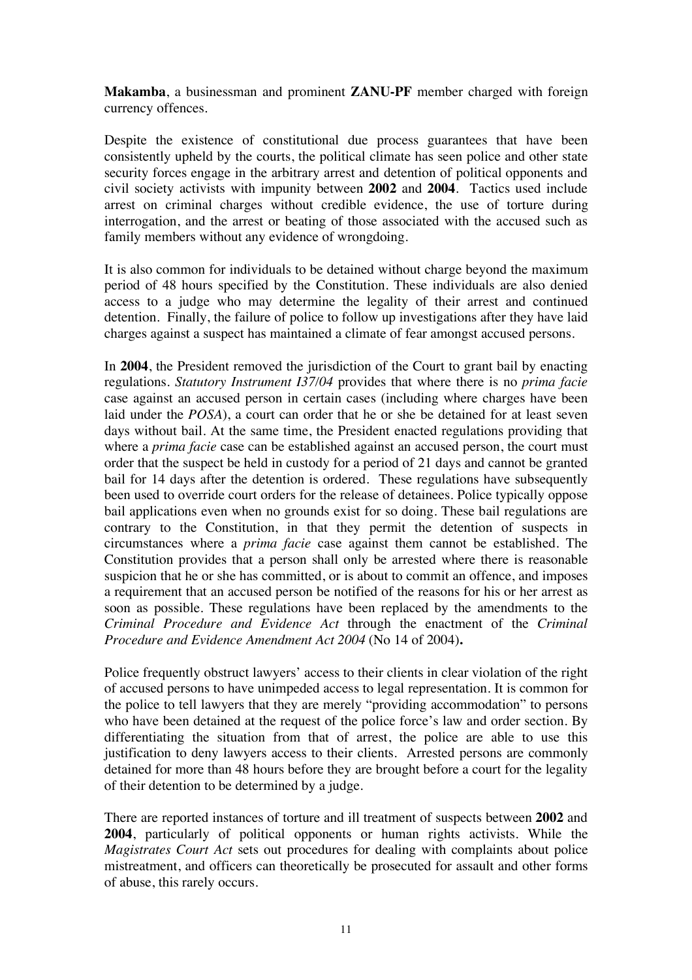**Makamba**, a businessman and prominent **ZANU-PF** member charged with foreign currency offences.

Despite the existence of constitutional due process guarantees that have been consistently upheld by the courts, the political climate has seen police and other state security forces engage in the arbitrary arrest and detention of political opponents and civil society activists with impunity between **2002** and **2004**. Tactics used include arrest on criminal charges without credible evidence, the use of torture during interrogation, and the arrest or beating of those associated with the accused such as family members without any evidence of wrongdoing.

It is also common for individuals to be detained without charge beyond the maximum period of 48 hours specified by the Constitution. These individuals are also denied access to a judge who may determine the legality of their arrest and continued detention. Finally, the failure of police to follow up investigations after they have laid charges against a suspect has maintained a climate of fear amongst accused persons.

In **2004**, the President removed the jurisdiction of the Court to grant bail by enacting regulations. *Statutory Instrument I37/04* provides that where there is no *prima facie*  case against an accused person in certain cases (including where charges have been laid under the *POSA*), a court can order that he or she be detained for at least seven days without bail. At the same time, the President enacted regulations providing that where a *prima facie* case can be established against an accused person, the court must order that the suspect be held in custody for a period of 21 days and cannot be granted bail for 14 days after the detention is ordered. These regulations have subsequently been used to override court orders for the release of detainees. Police typically oppose bail applications even when no grounds exist for so doing. These bail regulations are contrary to the Constitution, in that they permit the detention of suspects in circumstances where a *prima facie* case against them cannot be established. The Constitution provides that a person shall only be arrested where there is reasonable suspicion that he or she has committed, or is about to commit an offence, and imposes a requirement that an accused person be notified of the reasons for his or her arrest as soon as possible. These regulations have been replaced by the amendments to the *Criminal Procedure and Evidence Act* through the enactment of the *Criminal Procedure and Evidence Amendment Act 2004* (No 14 of 2004)**.**

Police frequently obstruct lawyers' access to their clients in clear violation of the right of accused persons to have unimpeded access to legal representation. It is common for the police to tell lawyers that they are merely "providing accommodation" to persons who have been detained at the request of the police force's law and order section. By differentiating the situation from that of arrest, the police are able to use this justification to deny lawyers access to their clients. Arrested persons are commonly detained for more than 48 hours before they are brought before a court for the legality of their detention to be determined by a judge.

There are reported instances of torture and ill treatment of suspects between **2002** and **2004**, particularly of political opponents or human rights activists. While the *Magistrates Court Act* sets out procedures for dealing with complaints about police mistreatment, and officers can theoretically be prosecuted for assault and other forms of abuse, this rarely occurs.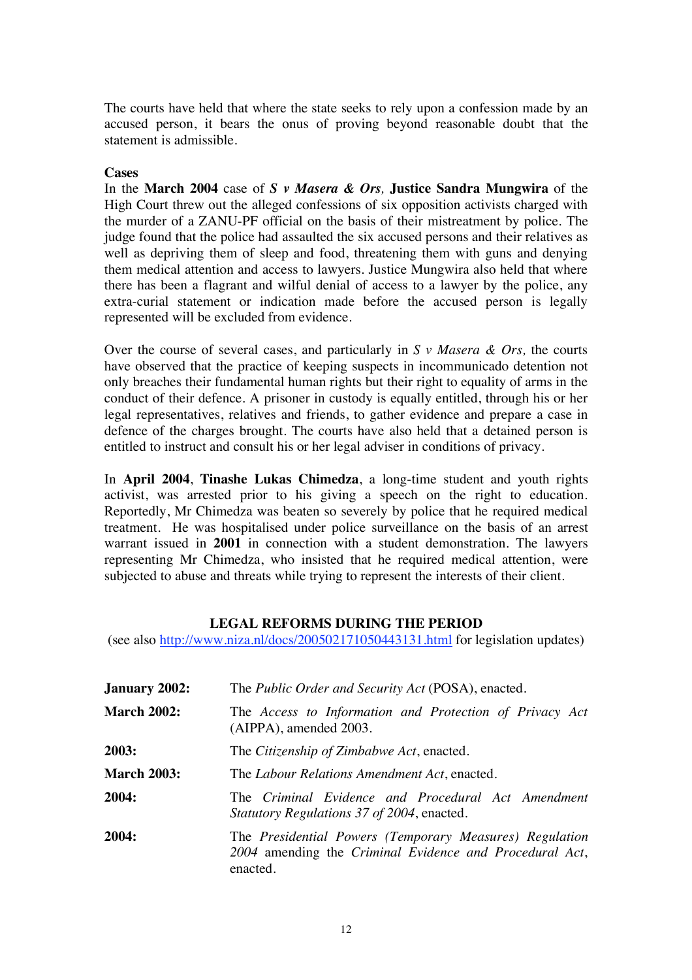The courts have held that where the state seeks to rely upon a confession made by an accused person, it bears the onus of proving beyond reasonable doubt that the statement is admissible.

### **Cases**

In the **March 2004** case of *S v Masera & Ors,* **Justice Sandra Mungwira** of the High Court threw out the alleged confessions of six opposition activists charged with the murder of a ZANU-PF official on the basis of their mistreatment by police. The judge found that the police had assaulted the six accused persons and their relatives as well as depriving them of sleep and food, threatening them with guns and denying them medical attention and access to lawyers. Justice Mungwira also held that where there has been a flagrant and wilful denial of access to a lawyer by the police, any extra-curial statement or indication made before the accused person is legally represented will be excluded from evidence.

Over the course of several cases, and particularly in *S v Masera & Ors,* the courts have observed that the practice of keeping suspects in incommunicado detention not only breaches their fundamental human rights but their right to equality of arms in the conduct of their defence. A prisoner in custody is equally entitled, through his or her legal representatives, relatives and friends, to gather evidence and prepare a case in defence of the charges brought. The courts have also held that a detained person is entitled to instruct and consult his or her legal adviser in conditions of privacy.

In **April 2004**, **Tinashe Lukas Chimedza**, a long-time student and youth rights activist, was arrested prior to his giving a speech on the right to education. Reportedly, Mr Chimedza was beaten so severely by police that he required medical treatment. He was hospitalised under police surveillance on the basis of an arrest warrant issued in **2001** in connection with a student demonstration. The lawyers representing Mr Chimedza, who insisted that he required medical attention, were subjected to abuse and threats while trying to represent the interests of their client.

## **LEGAL REFORMS DURING THE PERIOD**

(see also http://www.niza.nl/docs/200502171050443131.html for legislation updates)

| <b>January 2002:</b> | The <i>Public Order and Security Act</i> (POSA), enacted.                                                                      |
|----------------------|--------------------------------------------------------------------------------------------------------------------------------|
| <b>March 2002:</b>   | The Access to Information and Protection of Privacy Act<br>(AIPPA), amended 2003.                                              |
| 2003:                | The Citizenship of Zimbabwe Act, enacted.                                                                                      |
| <b>March 2003:</b>   | The Labour Relations Amendment Act, enacted.                                                                                   |
| 2004:                | The Criminal Evidence and Procedural Act Amendment<br><i>Statutory Regulations 37 of 2004, enacted.</i>                        |
| 2004:                | The Presidential Powers (Temporary Measures) Regulation<br>2004 amending the Criminal Evidence and Procedural Act,<br>enacted. |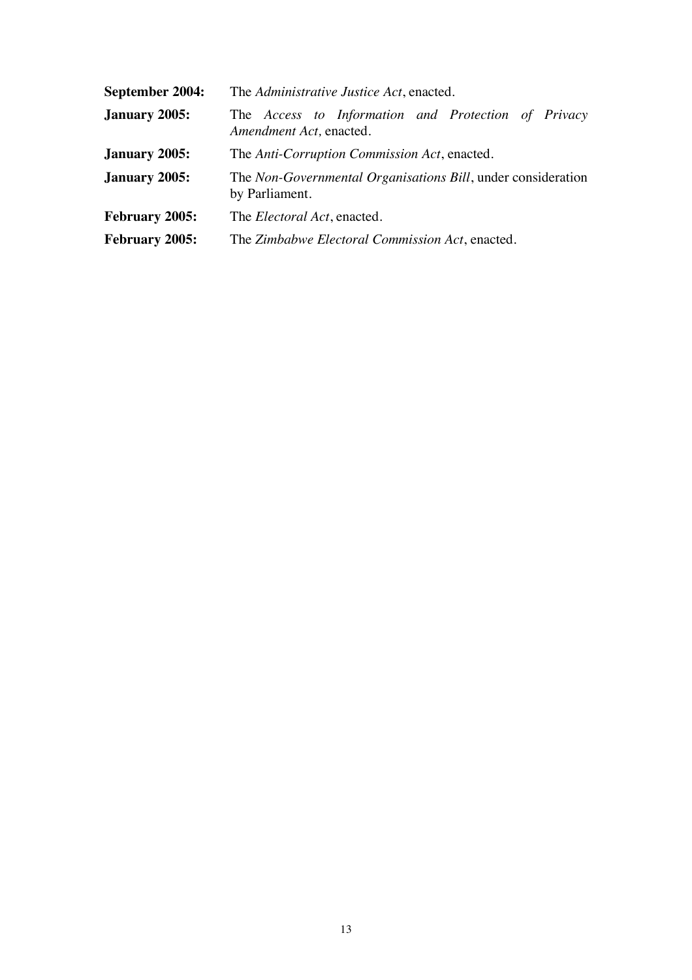| September 2004:       | The Administrative Justice Act, enacted.                                       |
|-----------------------|--------------------------------------------------------------------------------|
| <b>January 2005:</b>  | The Access to Information and Protection of Privacy<br>Amendment Act, enacted. |
| <b>January 2005:</b>  | The Anti-Corruption Commission Act, enacted.                                   |
| <b>January 2005:</b>  | The Non-Governmental Organisations Bill, under consideration<br>by Parliament. |
| <b>February 2005:</b> | The <i>Electoral Act</i> , enacted.                                            |
| <b>February 2005:</b> | The Zimbabwe Electoral Commission Act, enacted.                                |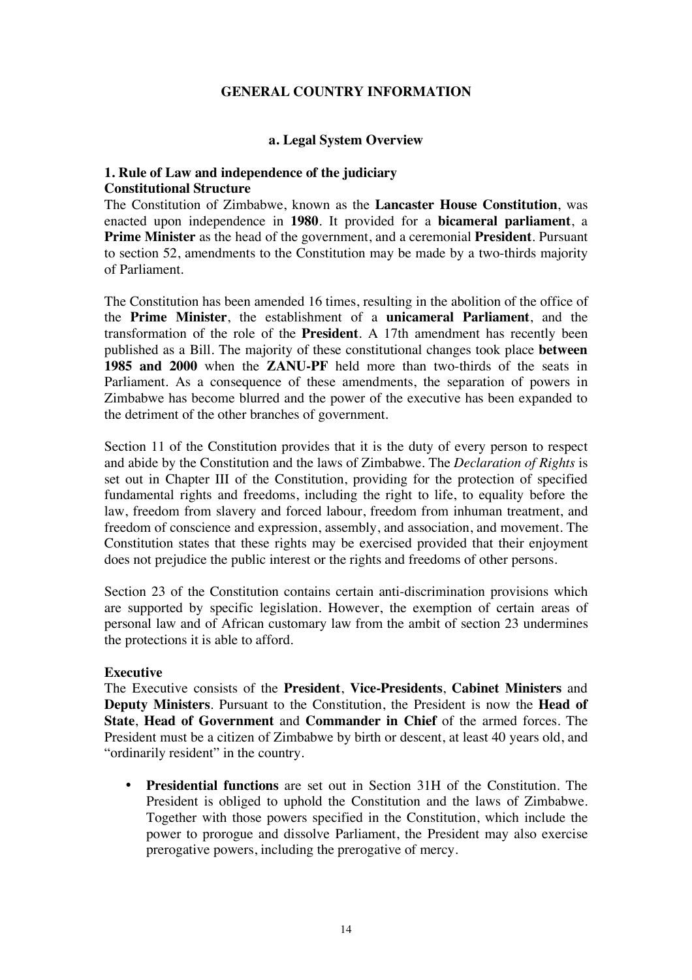## **GENERAL COUNTRY INFORMATION**

### **a. Legal System Overview**

## **1. Rule of Law and independence of the judiciary Constitutional Structure**

The Constitution of Zimbabwe, known as the **Lancaster House Constitution**, was enacted upon independence in **1980**. It provided for a **bicameral parliament**, a **Prime Minister** as the head of the government, and a ceremonial **President**. Pursuant to section 52, amendments to the Constitution may be made by a two-thirds majority of Parliament.

The Constitution has been amended 16 times, resulting in the abolition of the office of the **Prime Minister**, the establishment of a **unicameral Parliament**, and the transformation of the role of the **President**. A 17th amendment has recently been published as a Bill. The majority of these constitutional changes took place **between 1985 and 2000** when the **ZANU-PF** held more than two-thirds of the seats in Parliament. As a consequence of these amendments, the separation of powers in Zimbabwe has become blurred and the power of the executive has been expanded to the detriment of the other branches of government.

Section 11 of the Constitution provides that it is the duty of every person to respect and abide by the Constitution and the laws of Zimbabwe. The *Declaration of Rights* is set out in Chapter III of the Constitution, providing for the protection of specified fundamental rights and freedoms, including the right to life, to equality before the law, freedom from slavery and forced labour, freedom from inhuman treatment, and freedom of conscience and expression, assembly, and association, and movement. The Constitution states that these rights may be exercised provided that their enjoyment does not prejudice the public interest or the rights and freedoms of other persons.

Section 23 of the Constitution contains certain anti-discrimination provisions which are supported by specific legislation. However, the exemption of certain areas of personal law and of African customary law from the ambit of section 23 undermines the protections it is able to afford.

## **Executive**

The Executive consists of the **President**, **Vice-Presidents**, **Cabinet Ministers** and **Deputy Ministers**. Pursuant to the Constitution, the President is now the **Head of State**, **Head of Government** and **Commander in Chief** of the armed forces. The President must be a citizen of Zimbabwe by birth or descent, at least 40 years old, and "ordinarily resident" in the country.

• **Presidential functions** are set out in Section 31H of the Constitution. The President is obliged to uphold the Constitution and the laws of Zimbabwe. Together with those powers specified in the Constitution, which include the power to prorogue and dissolve Parliament, the President may also exercise prerogative powers, including the prerogative of mercy.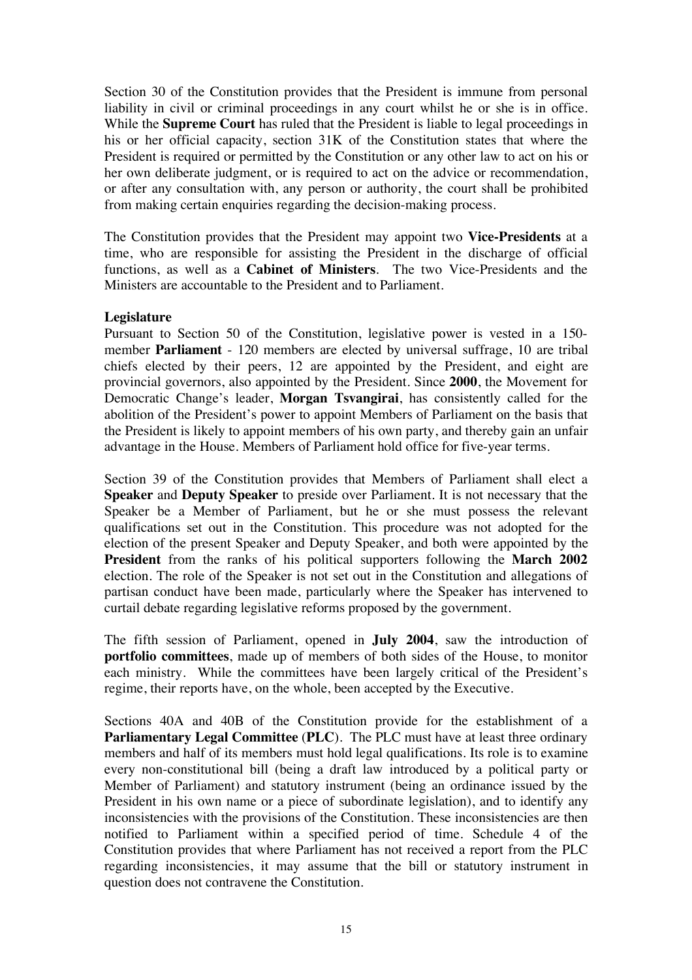Section 30 of the Constitution provides that the President is immune from personal liability in civil or criminal proceedings in any court whilst he or she is in office. While the **Supreme Court** has ruled that the President is liable to legal proceedings in his or her official capacity, section 31K of the Constitution states that where the President is required or permitted by the Constitution or any other law to act on his or her own deliberate judgment, or is required to act on the advice or recommendation, or after any consultation with, any person or authority, the court shall be prohibited from making certain enquiries regarding the decision-making process.

The Constitution provides that the President may appoint two **Vice-Presidents** at a time, who are responsible for assisting the President in the discharge of official functions, as well as a **Cabinet of Ministers**. The two Vice-Presidents and the Ministers are accountable to the President and to Parliament.

## **Legislature**

Pursuant to Section 50 of the Constitution, legislative power is vested in a 150 member **Parliament** - 120 members are elected by universal suffrage, 10 are tribal chiefs elected by their peers, 12 are appointed by the President, and eight are provincial governors, also appointed by the President. Since **2000**, the Movement for Democratic Change's leader, **Morgan Tsvangirai**, has consistently called for the abolition of the President's power to appoint Members of Parliament on the basis that the President is likely to appoint members of his own party, and thereby gain an unfair advantage in the House. Members of Parliament hold office for five-year terms.

Section 39 of the Constitution provides that Members of Parliament shall elect a **Speaker** and **Deputy Speaker** to preside over Parliament. It is not necessary that the Speaker be a Member of Parliament, but he or she must possess the relevant qualifications set out in the Constitution. This procedure was not adopted for the election of the present Speaker and Deputy Speaker, and both were appointed by the **President** from the ranks of his political supporters following the **March 2002** election. The role of the Speaker is not set out in the Constitution and allegations of partisan conduct have been made, particularly where the Speaker has intervened to curtail debate regarding legislative reforms proposed by the government.

The fifth session of Parliament, opened in **July 2004**, saw the introduction of **portfolio committees**, made up of members of both sides of the House, to monitor each ministry. While the committees have been largely critical of the President's regime, their reports have, on the whole, been accepted by the Executive.

Sections 40A and 40B of the Constitution provide for the establishment of a **Parliamentary Legal Committee** (**PLC**). The PLC must have at least three ordinary members and half of its members must hold legal qualifications. Its role is to examine every non-constitutional bill (being a draft law introduced by a political party or Member of Parliament) and statutory instrument (being an ordinance issued by the President in his own name or a piece of subordinate legislation), and to identify any inconsistencies with the provisions of the Constitution. These inconsistencies are then notified to Parliament within a specified period of time. Schedule 4 of the Constitution provides that where Parliament has not received a report from the PLC regarding inconsistencies, it may assume that the bill or statutory instrument in question does not contravene the Constitution.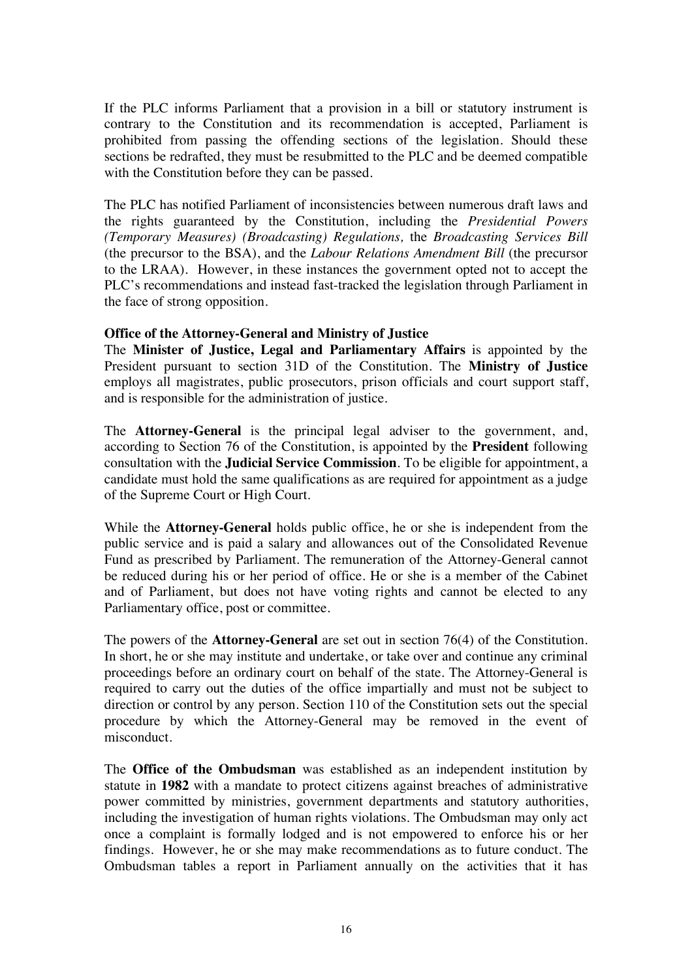If the PLC informs Parliament that a provision in a bill or statutory instrument is contrary to the Constitution and its recommendation is accepted, Parliament is prohibited from passing the offending sections of the legislation. Should these sections be redrafted, they must be resubmitted to the PLC and be deemed compatible with the Constitution before they can be passed.

The PLC has notified Parliament of inconsistencies between numerous draft laws and the rights guaranteed by the Constitution, including the *Presidential Powers (Temporary Measures) (Broadcasting) Regulations,* the *Broadcasting Services Bill* (the precursor to the BSA), and the *Labour Relations Amendment Bill* (the precursor to the LRAA). However, in these instances the government opted not to accept the PLC's recommendations and instead fast-tracked the legislation through Parliament in the face of strong opposition.

### **Office of the Attorney-General and Ministry of Justice**

The **Minister of Justice, Legal and Parliamentary Affairs** is appointed by the President pursuant to section 31D of the Constitution. The **Ministry of Justice** employs all magistrates, public prosecutors, prison officials and court support staff, and is responsible for the administration of justice.

The **Attorney-General** is the principal legal adviser to the government, and, according to Section 76 of the Constitution, is appointed by the **President** following consultation with the **Judicial Service Commission**. To be eligible for appointment, a candidate must hold the same qualifications as are required for appointment as a judge of the Supreme Court or High Court.

While the **Attorney-General** holds public office, he or she is independent from the public service and is paid a salary and allowances out of the Consolidated Revenue Fund as prescribed by Parliament. The remuneration of the Attorney-General cannot be reduced during his or her period of office. He or she is a member of the Cabinet and of Parliament, but does not have voting rights and cannot be elected to any Parliamentary office, post or committee.

The powers of the **Attorney-General** are set out in section 76(4) of the Constitution. In short, he or she may institute and undertake, or take over and continue any criminal proceedings before an ordinary court on behalf of the state. The Attorney-General is required to carry out the duties of the office impartially and must not be subject to direction or control by any person. Section 110 of the Constitution sets out the special procedure by which the Attorney-General may be removed in the event of misconduct.

The **Office of the Ombudsman** was established as an independent institution by statute in **1982** with a mandate to protect citizens against breaches of administrative power committed by ministries, government departments and statutory authorities, including the investigation of human rights violations. The Ombudsman may only act once a complaint is formally lodged and is not empowered to enforce his or her findings. However, he or she may make recommendations as to future conduct. The Ombudsman tables a report in Parliament annually on the activities that it has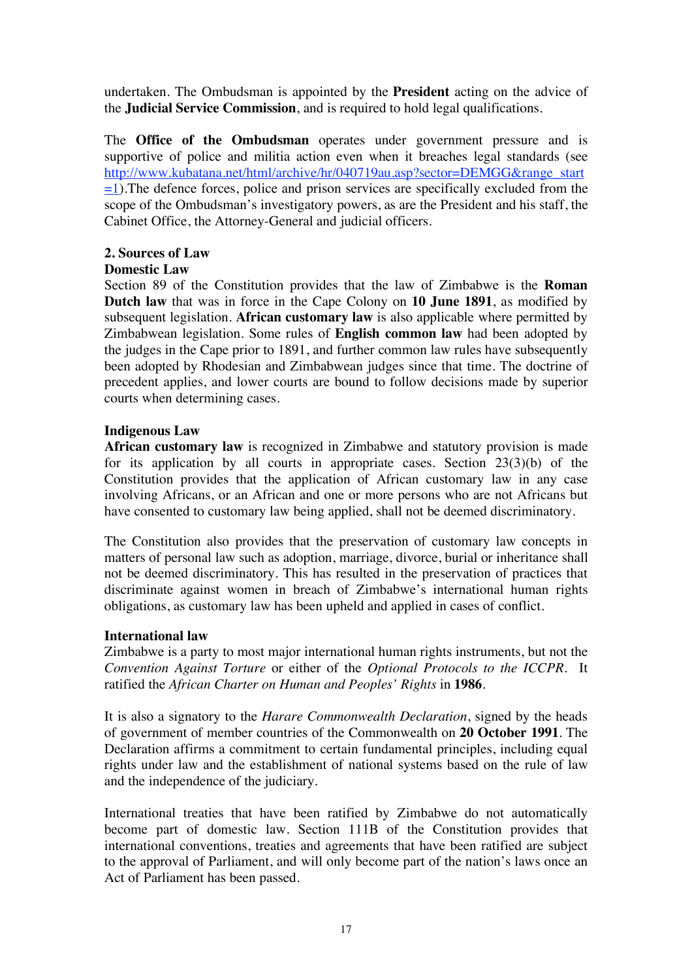undertaken. The Ombudsman is appointed by the **President** acting on the advice of the **Judicial Service Commission**, and is required to hold legal qualifications.

The **Office of the Ombudsman** operates under government pressure and is supportive of police and militia action even when it breaches legal standards (see http://www.kubatana.net/html/archive/hr/040719au.asp?sector=DEMGG&range\_start  $=1$ ). The defence forces, police and prison services are specifically excluded from the scope of the Ombudsman's investigatory powers, as are the President and his staff, the Cabinet Office, the Attorney-General and judicial officers.

# **2. Sources of Law**

# **Domestic Law**

Section 89 of the Constitution provides that the law of Zimbabwe is the **Roman Dutch law** that was in force in the Cape Colony on **10 June 1891**, as modified by subsequent legislation. **African customary law** is also applicable where permitted by Zimbabwean legislation. Some rules of **English common law** had been adopted by the judges in the Cape prior to 1891, and further common law rules have subsequently been adopted by Rhodesian and Zimbabwean judges since that time. The doctrine of precedent applies, and lower courts are bound to follow decisions made by superior courts when determining cases.

# **Indigenous Law**

**African customary law** is recognized in Zimbabwe and statutory provision is made for its application by all courts in appropriate cases. Section 23(3)(b) of the Constitution provides that the application of African customary law in any case involving Africans, or an African and one or more persons who are not Africans but have consented to customary law being applied, shall not be deemed discriminatory.

The Constitution also provides that the preservation of customary law concepts in matters of personal law such as adoption, marriage, divorce, burial or inheritance shall not be deemed discriminatory. This has resulted in the preservation of practices that discriminate against women in breach of Zimbabwe's international human rights obligations, as customary law has been upheld and applied in cases of conflict.

# **International law**

Zimbabwe is a party to most major international human rights instruments, but not the *Convention Against Torture* or either of the *Optional Protocols to the ICCPR*. It ratified the *African Charter on Human and Peoples' Rights* in **1986**.

It is also a signatory to the *Harare Commonwealth Declaration*, signed by the heads of government of member countries of the Commonwealth on **20 October 1991**. The Declaration affirms a commitment to certain fundamental principles, including equal rights under law and the establishment of national systems based on the rule of law and the independence of the judiciary.

International treaties that have been ratified by Zimbabwe do not automatically become part of domestic law. Section 111B of the Constitution provides that international conventions, treaties and agreements that have been ratified are subject to the approval of Parliament, and will only become part of the nation's laws once an Act of Parliament has been passed.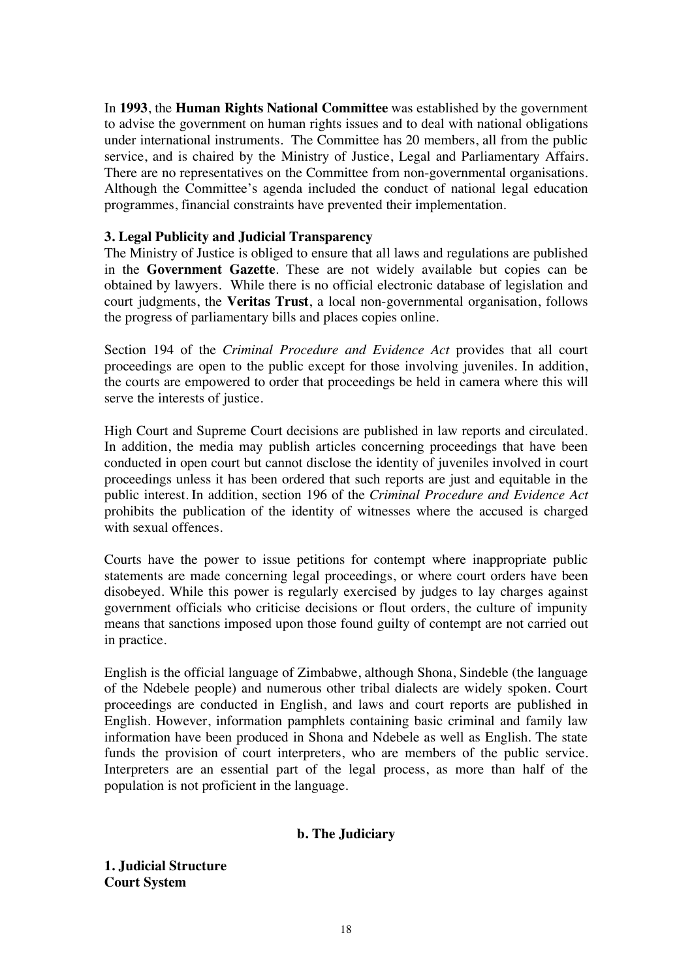In **1993**, the **Human Rights National Committee** was established by the government to advise the government on human rights issues and to deal with national obligations under international instruments. The Committee has 20 members, all from the public service, and is chaired by the Ministry of Justice, Legal and Parliamentary Affairs. There are no representatives on the Committee from non-governmental organisations. Although the Committee's agenda included the conduct of national legal education programmes, financial constraints have prevented their implementation.

## **3. Legal Publicity and Judicial Transparency**

The Ministry of Justice is obliged to ensure that all laws and regulations are published in the **Government Gazette**. These are not widely available but copies can be obtained by lawyers. While there is no official electronic database of legislation and court judgments, the **Veritas Trust**, a local non-governmental organisation, follows the progress of parliamentary bills and places copies online.

Section 194 of the *Criminal Procedure and Evidence Act* provides that all court proceedings are open to the public except for those involving juveniles. In addition, the courts are empowered to order that proceedings be held in camera where this will serve the interests of justice.

High Court and Supreme Court decisions are published in law reports and circulated. In addition, the media may publish articles concerning proceedings that have been conducted in open court but cannot disclose the identity of juveniles involved in court proceedings unless it has been ordered that such reports are just and equitable in the public interest. In addition, section 196 of the *Criminal Procedure and Evidence Act* prohibits the publication of the identity of witnesses where the accused is charged with sexual offences.

Courts have the power to issue petitions for contempt where inappropriate public statements are made concerning legal proceedings, or where court orders have been disobeyed. While this power is regularly exercised by judges to lay charges against government officials who criticise decisions or flout orders, the culture of impunity means that sanctions imposed upon those found guilty of contempt are not carried out in practice.

English is the official language of Zimbabwe, although Shona, Sindeble (the language of the Ndebele people) and numerous other tribal dialects are widely spoken. Court proceedings are conducted in English, and laws and court reports are published in English. However, information pamphlets containing basic criminal and family law information have been produced in Shona and Ndebele as well as English. The state funds the provision of court interpreters, who are members of the public service. Interpreters are an essential part of the legal process, as more than half of the population is not proficient in the language.

## **b. The Judiciary**

**1. Judicial Structure Court System**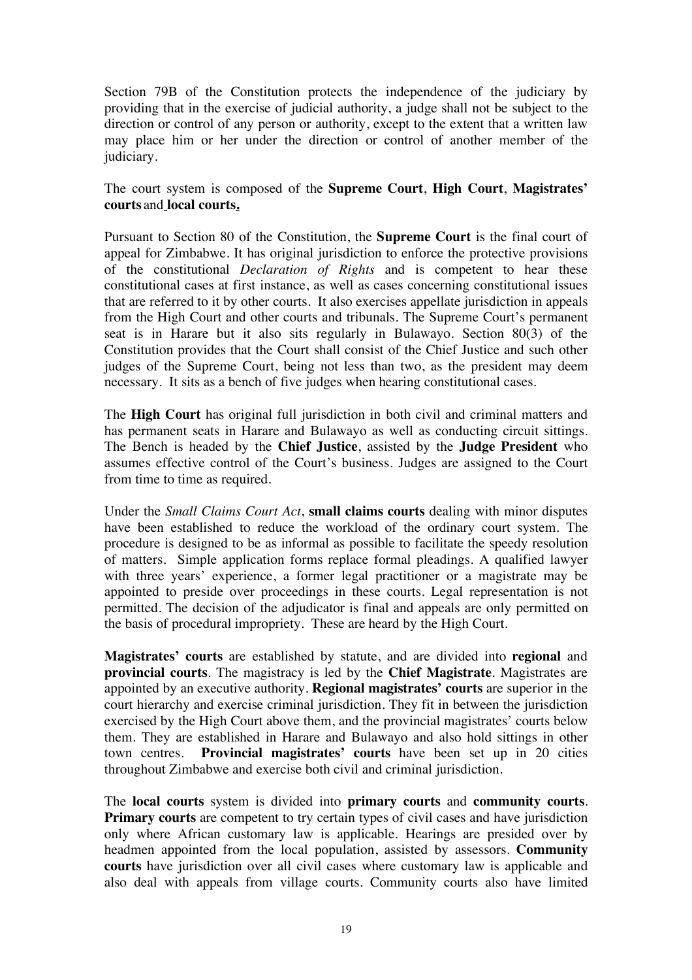Section 79B of the Constitution protects the independence of the judiciary by providing that in the exercise of judicial authority, a judge shall not be subject to the direction or control of any person or authority, except to the extent that a written law may place him or her under the direction or control of another member of the judiciary.

The court system is composed of the **Supreme Court**, **High Court**, **Magistrates' courts** and **local courts.**

Pursuant to Section 80 of the Constitution, the **Supreme Court** is the final court of appeal for Zimbabwe. It has original jurisdiction to enforce the protective provisions of the constitutional *Declaration of Rights* and is competent to hear these constitutional cases at first instance, as well as cases concerning constitutional issues that are referred to it by other courts. It also exercises appellate jurisdiction in appeals from the High Court and other courts and tribunals. The Supreme Court's permanent seat is in Harare but it also sits regularly in Bulawayo. Section 80(3) of the Constitution provides that the Court shall consist of the Chief Justice and such other judges of the Supreme Court, being not less than two, as the president may deem necessary. It sits as a bench of five judges when hearing constitutional cases.

The **High Court** has original full jurisdiction in both civil and criminal matters and has permanent seats in Harare and Bulawayo as well as conducting circuit sittings. The Bench is headed by the **Chief Justice**, assisted by the **Judge President** who assumes effective control of the Court's business. Judges are assigned to the Court from time to time as required.

Under the *Small Claims Court Act*, **small claims courts** dealing with minor disputes have been established to reduce the workload of the ordinary court system. The procedure is designed to be as informal as possible to facilitate the speedy resolution of matters. Simple application forms replace formal pleadings. A qualified lawyer with three years' experience, a former legal practitioner or a magistrate may be appointed to preside over proceedings in these courts. Legal representation is not permitted. The decision of the adjudicator is final and appeals are only permitted on the basis of procedural impropriety. These are heard by the High Court.

**Magistrates' courts** are established by statute, and are divided into **regional** and **provincial courts**. The magistracy is led by the **Chief Magistrate**. Magistrates are appointed by an executive authority. **Regional magistrates' courts** are superior in the court hierarchy and exercise criminal jurisdiction. They fit in between the jurisdiction exercised by the High Court above them, and the provincial magistrates' courts below them. They are established in Harare and Bulawayo and also hold sittings in other town centres. **Provincial magistrates' courts** have been set up in 20 cities throughout Zimbabwe and exercise both civil and criminal jurisdiction.

The **local courts** system is divided into **primary courts** and **community courts**. **Primary courts** are competent to try certain types of civil cases and have jurisdiction only where African customary law is applicable. Hearings are presided over by headmen appointed from the local population, assisted by assessors. **Community courts** have jurisdiction over all civil cases where customary law is applicable and also deal with appeals from village courts. Community courts also have limited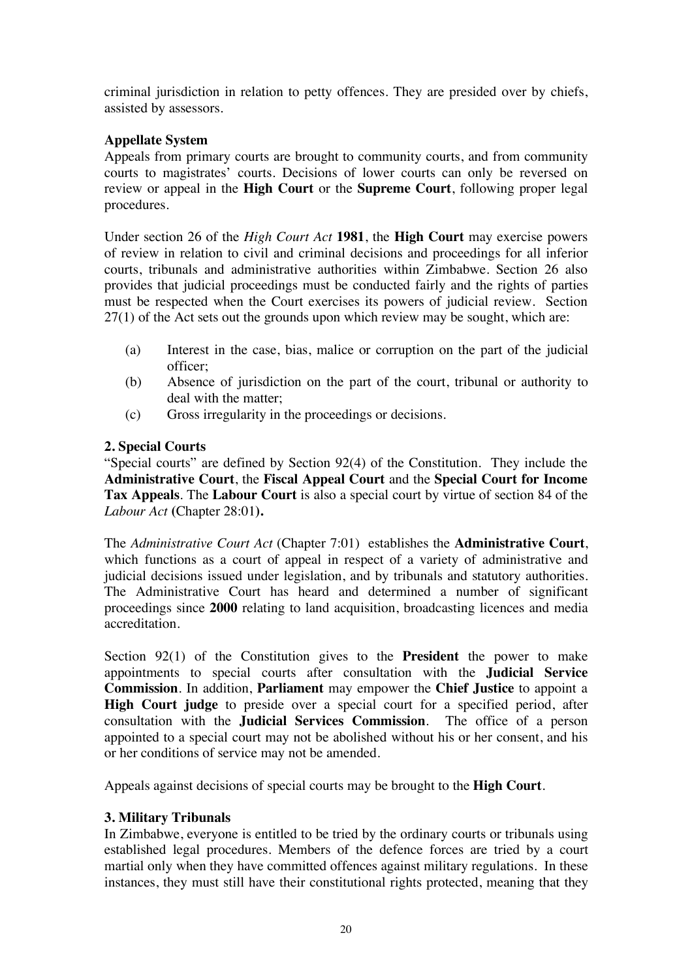criminal jurisdiction in relation to petty offences. They are presided over by chiefs, assisted by assessors.

# **Appellate System**

Appeals from primary courts are brought to community courts, and from community courts to magistrates' courts. Decisions of lower courts can only be reversed on review or appeal in the **High Court** or the **Supreme Court**, following proper legal procedures.

Under section 26 of the *High Court Act* **1981**, the **High Court** may exercise powers of review in relation to civil and criminal decisions and proceedings for all inferior courts, tribunals and administrative authorities within Zimbabwe. Section 26 also provides that judicial proceedings must be conducted fairly and the rights of parties must be respected when the Court exercises its powers of judicial review. Section 27(1) of the Act sets out the grounds upon which review may be sought, which are:

- (a) Interest in the case, bias, malice or corruption on the part of the judicial officer;
- (b) Absence of jurisdiction on the part of the court, tribunal or authority to deal with the matter;
- (c) Gross irregularity in the proceedings or decisions.

# **2. Special Courts**

"Special courts" are defined by Section 92(4) of the Constitution. They include the **Administrative Court**, the **Fiscal Appeal Court** and the **Special Court for Income Tax Appeals**. The **Labour Court** is also a special court by virtue of section 84 of the *Labour Act* **(**Chapter 28:01**).** 

The *Administrative Court Act* (Chapter 7:01) establishes the **Administrative Court**, which functions as a court of appeal in respect of a variety of administrative and judicial decisions issued under legislation, and by tribunals and statutory authorities. The Administrative Court has heard and determined a number of significant proceedings since **2000** relating to land acquisition, broadcasting licences and media accreditation.

Section 92(1) of the Constitution gives to the **President** the power to make appointments to special courts after consultation with the **Judicial Service Commission**. In addition, **Parliament** may empower the **Chief Justice** to appoint a **High Court judge** to preside over a special court for a specified period, after consultation with the **Judicial Services Commission**. The office of a person appointed to a special court may not be abolished without his or her consent, and his or her conditions of service may not be amended.

Appeals against decisions of special courts may be brought to the **High Court**.

# **3. Military Tribunals**

In Zimbabwe, everyone is entitled to be tried by the ordinary courts or tribunals using established legal procedures. Members of the defence forces are tried by a court martial only when they have committed offences against military regulations. In these instances, they must still have their constitutional rights protected, meaning that they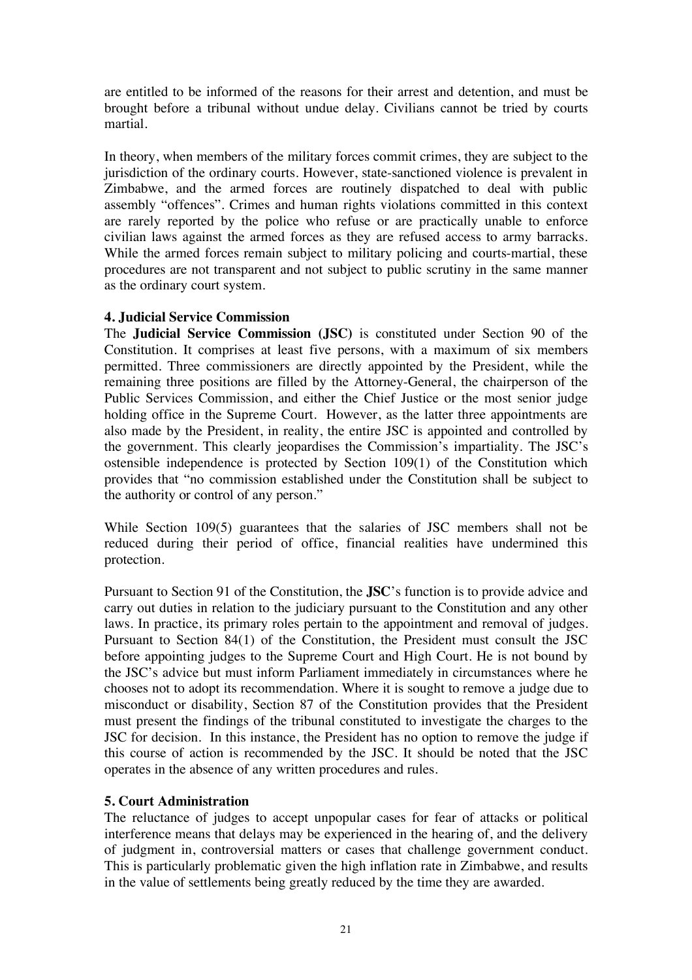are entitled to be informed of the reasons for their arrest and detention, and must be brought before a tribunal without undue delay. Civilians cannot be tried by courts martial.

In theory, when members of the military forces commit crimes, they are subject to the jurisdiction of the ordinary courts. However, state-sanctioned violence is prevalent in Zimbabwe, and the armed forces are routinely dispatched to deal with public assembly "offences". Crimes and human rights violations committed in this context are rarely reported by the police who refuse or are practically unable to enforce civilian laws against the armed forces as they are refused access to army barracks. While the armed forces remain subject to military policing and courts-martial, these procedures are not transparent and not subject to public scrutiny in the same manner as the ordinary court system.

## **4. Judicial Service Commission**

The **Judicial Service Commission (JSC)** is constituted under Section 90 of the Constitution. It comprises at least five persons, with a maximum of six members permitted. Three commissioners are directly appointed by the President, while the remaining three positions are filled by the Attorney-General, the chairperson of the Public Services Commission, and either the Chief Justice or the most senior judge holding office in the Supreme Court. However, as the latter three appointments are also made by the President, in reality, the entire JSC is appointed and controlled by the government. This clearly jeopardises the Commission's impartiality. The JSC's ostensible independence is protected by Section 109(1) of the Constitution which provides that "no commission established under the Constitution shall be subject to the authority or control of any person."

While Section 109(5) guarantees that the salaries of JSC members shall not be reduced during their period of office, financial realities have undermined this protection.

Pursuant to Section 91 of the Constitution, the **JSC**'s function is to provide advice and carry out duties in relation to the judiciary pursuant to the Constitution and any other laws. In practice, its primary roles pertain to the appointment and removal of judges. Pursuant to Section 84(1) of the Constitution, the President must consult the JSC before appointing judges to the Supreme Court and High Court. He is not bound by the JSC's advice but must inform Parliament immediately in circumstances where he chooses not to adopt its recommendation. Where it is sought to remove a judge due to misconduct or disability, Section 87 of the Constitution provides that the President must present the findings of the tribunal constituted to investigate the charges to the JSC for decision. In this instance, the President has no option to remove the judge if this course of action is recommended by the JSC. It should be noted that the JSC operates in the absence of any written procedures and rules.

## **5. Court Administration**

The reluctance of judges to accept unpopular cases for fear of attacks or political interference means that delays may be experienced in the hearing of, and the delivery of judgment in, controversial matters or cases that challenge government conduct. This is particularly problematic given the high inflation rate in Zimbabwe, and results in the value of settlements being greatly reduced by the time they are awarded.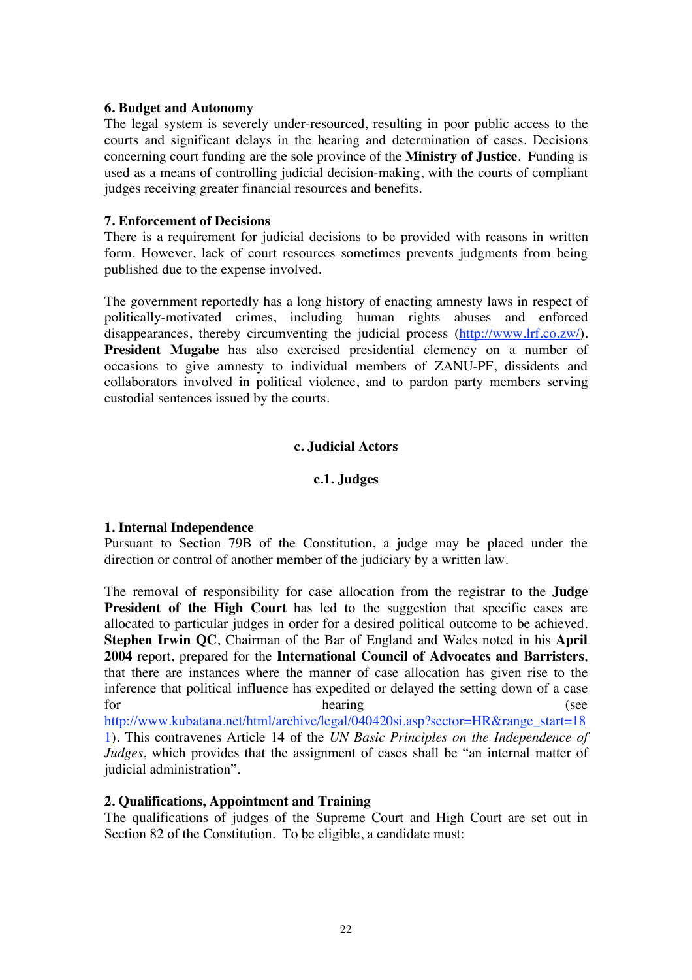### **6. Budget and Autonomy**

The legal system is severely under-resourced, resulting in poor public access to the courts and significant delays in the hearing and determination of cases. Decisions concerning court funding are the sole province of the **Ministry of Justice**. Funding is used as a means of controlling judicial decision-making, with the courts of compliant judges receiving greater financial resources and benefits.

### **7. Enforcement of Decisions**

There is a requirement for judicial decisions to be provided with reasons in written form. However, lack of court resources sometimes prevents judgments from being published due to the expense involved.

The government reportedly has a long history of enacting amnesty laws in respect of politically-motivated crimes, including human rights abuses and enforced disappearances, thereby circumventing the judicial process (http://www.lrf.co.zw/). **President Mugabe** has also exercised presidential clemency on a number of occasions to give amnesty to individual members of ZANU-PF, dissidents and collaborators involved in political violence, and to pardon party members serving custodial sentences issued by the courts.

## **c. Judicial Actors**

## **c.1. Judges**

## **1. Internal Independence**

Pursuant to Section 79B of the Constitution, a judge may be placed under the direction or control of another member of the judiciary by a written law.

The removal of responsibility for case allocation from the registrar to the **Judge President of the High Court** has led to the suggestion that specific cases are allocated to particular judges in order for a desired political outcome to be achieved. **Stephen Irwin QC**, Chairman of the Bar of England and Wales noted in his **April 2004** report, prepared for the **International Council of Advocates and Barristers**, that there are instances where the manner of case allocation has given rise to the inference that political influence has expedited or delayed the setting down of a case for hearing (see http://www.kubatana.net/html/archive/legal/040420si.asp?sector=HR&range\_start=18 1). This contravenes Article 14 of the *UN Basic Principles on the Independence of Judges*, which provides that the assignment of cases shall be "an internal matter of judicial administration".

## **2. Qualifications, Appointment and Training**

The qualifications of judges of the Supreme Court and High Court are set out in Section 82 of the Constitution. To be eligible, a candidate must: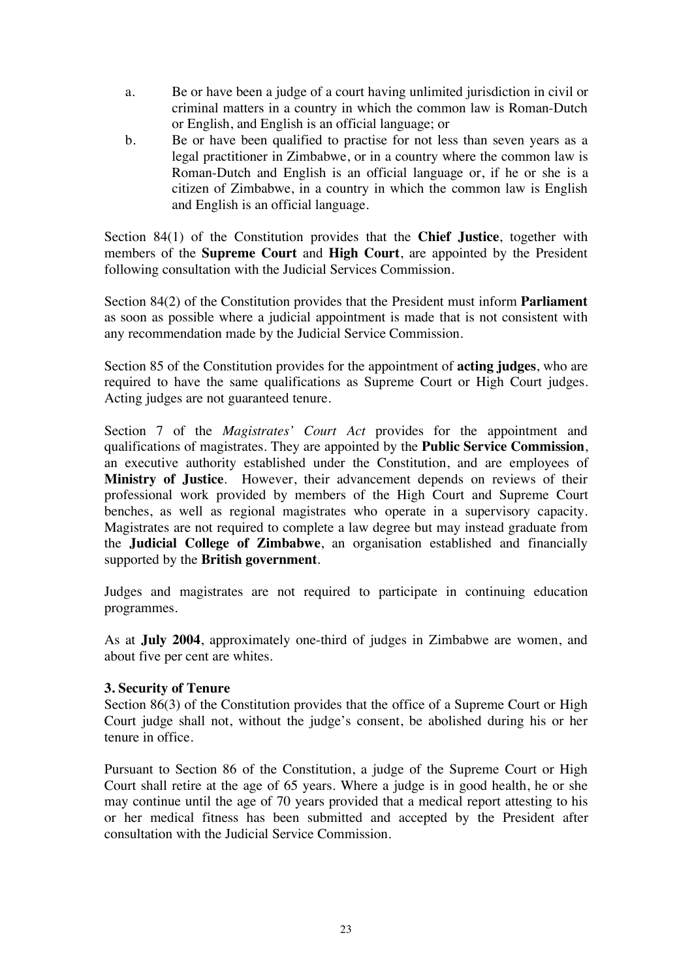- a. Be or have been a judge of a court having unlimited jurisdiction in civil or criminal matters in a country in which the common law is Roman-Dutch or English, and English is an official language; or
- b. Be or have been qualified to practise for not less than seven years as a legal practitioner in Zimbabwe, or in a country where the common law is Roman-Dutch and English is an official language or, if he or she is a citizen of Zimbabwe, in a country in which the common law is English and English is an official language.

Section 84(1) of the Constitution provides that the **Chief Justice**, together with members of the **Supreme Court** and **High Court**, are appointed by the President following consultation with the Judicial Services Commission.

Section 84(2) of the Constitution provides that the President must inform **Parliament** as soon as possible where a judicial appointment is made that is not consistent with any recommendation made by the Judicial Service Commission.

Section 85 of the Constitution provides for the appointment of **acting judges**, who are required to have the same qualifications as Supreme Court or High Court judges. Acting judges are not guaranteed tenure.

Section 7 of the *Magistrates' Court Act* provides for the appointment and qualifications of magistrates. They are appointed by the **Public Service Commission**, an executive authority established under the Constitution, and are employees of **Ministry of Justice**. However, their advancement depends on reviews of their professional work provided by members of the High Court and Supreme Court benches, as well as regional magistrates who operate in a supervisory capacity. Magistrates are not required to complete a law degree but may instead graduate from the **Judicial College of Zimbabwe**, an organisation established and financially supported by the **British government**.

Judges and magistrates are not required to participate in continuing education programmes.

As at **July 2004**, approximately one-third of judges in Zimbabwe are women, and about five per cent are whites.

## **3. Security of Tenure**

Section 86(3) of the Constitution provides that the office of a Supreme Court or High Court judge shall not, without the judge's consent, be abolished during his or her tenure in office.

Pursuant to Section 86 of the Constitution, a judge of the Supreme Court or High Court shall retire at the age of 65 years. Where a judge is in good health, he or she may continue until the age of 70 years provided that a medical report attesting to his or her medical fitness has been submitted and accepted by the President after consultation with the Judicial Service Commission.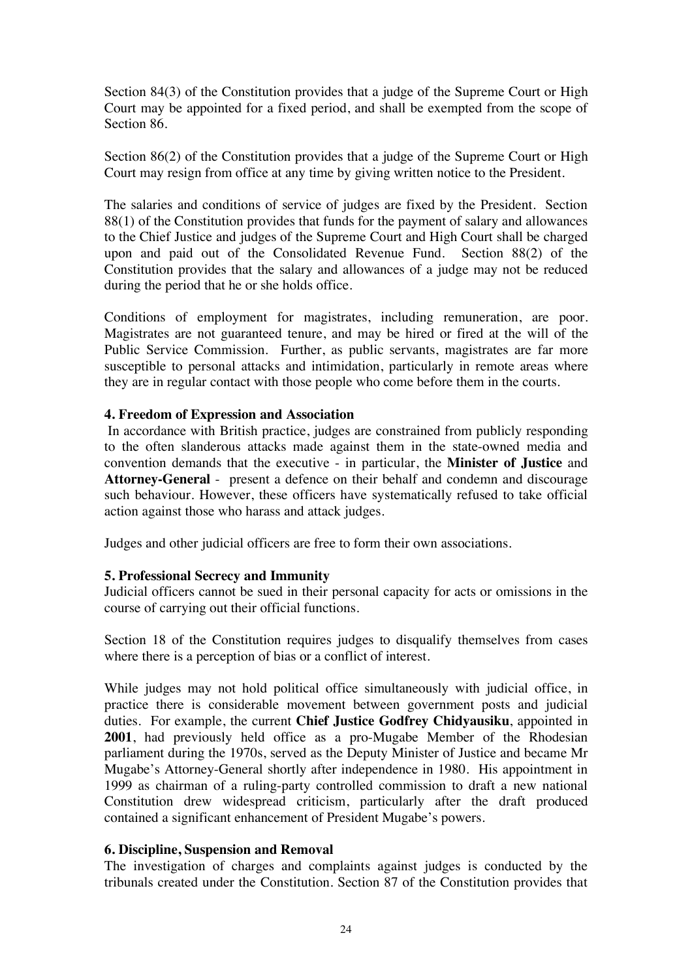Section 84(3) of the Constitution provides that a judge of the Supreme Court or High Court may be appointed for a fixed period, and shall be exempted from the scope of Section 86.

Section 86(2) of the Constitution provides that a judge of the Supreme Court or High Court may resign from office at any time by giving written notice to the President.

The salaries and conditions of service of judges are fixed by the President. Section 88(1) of the Constitution provides that funds for the payment of salary and allowances to the Chief Justice and judges of the Supreme Court and High Court shall be charged upon and paid out of the Consolidated Revenue Fund. Section 88(2) of the Constitution provides that the salary and allowances of a judge may not be reduced during the period that he or she holds office.

Conditions of employment for magistrates, including remuneration, are poor. Magistrates are not guaranteed tenure, and may be hired or fired at the will of the Public Service Commission. Further, as public servants, magistrates are far more susceptible to personal attacks and intimidation, particularly in remote areas where they are in regular contact with those people who come before them in the courts.

## **4. Freedom of Expression and Association**

 In accordance with British practice, judges are constrained from publicly responding to the often slanderous attacks made against them in the state-owned media and convention demands that the executive - in particular, the **Minister of Justice** and **Attorney-General** - present a defence on their behalf and condemn and discourage such behaviour. However, these officers have systematically refused to take official action against those who harass and attack judges.

Judges and other judicial officers are free to form their own associations.

## **5. Professional Secrecy and Immunity**

Judicial officers cannot be sued in their personal capacity for acts or omissions in the course of carrying out their official functions.

Section 18 of the Constitution requires judges to disqualify themselves from cases where there is a perception of bias or a conflict of interest.

While judges may not hold political office simultaneously with judicial office, in practice there is considerable movement between government posts and judicial duties. For example, the current **Chief Justice Godfrey Chidyausiku**, appointed in **2001**, had previously held office as a pro-Mugabe Member of the Rhodesian parliament during the 1970s, served as the Deputy Minister of Justice and became Mr Mugabe's Attorney-General shortly after independence in 1980. His appointment in 1999 as chairman of a ruling-party controlled commission to draft a new national Constitution drew widespread criticism, particularly after the draft produced contained a significant enhancement of President Mugabe's powers.

### **6. Discipline, Suspension and Removal**

The investigation of charges and complaints against judges is conducted by the tribunals created under the Constitution. Section 87 of the Constitution provides that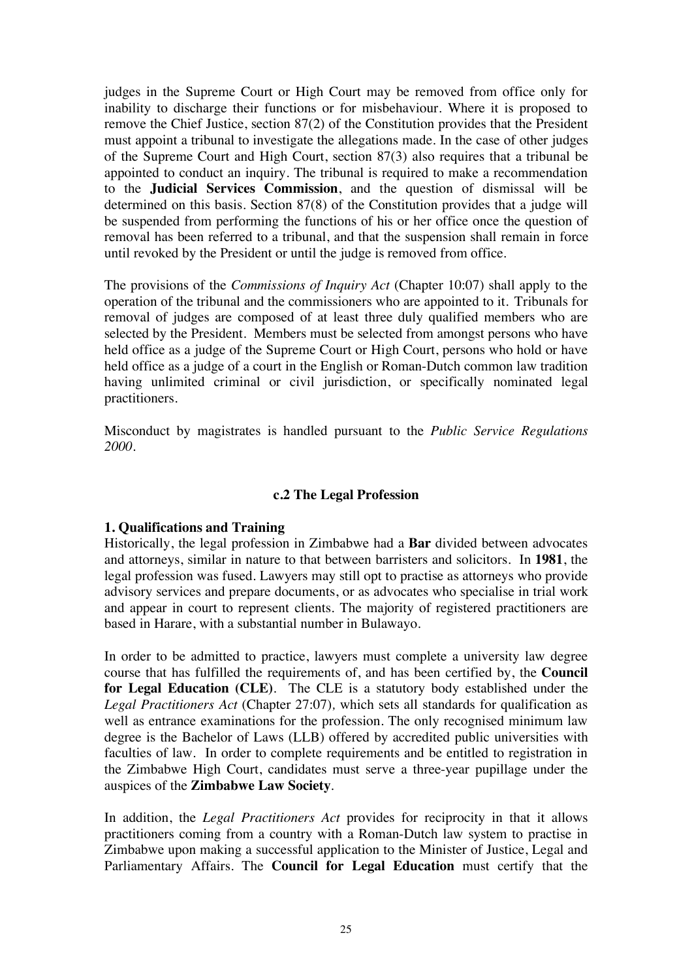judges in the Supreme Court or High Court may be removed from office only for inability to discharge their functions or for misbehaviour. Where it is proposed to remove the Chief Justice, section 87(2) of the Constitution provides that the President must appoint a tribunal to investigate the allegations made. In the case of other judges of the Supreme Court and High Court, section 87(3) also requires that a tribunal be appointed to conduct an inquiry. The tribunal is required to make a recommendation to the **Judicial Services Commission**, and the question of dismissal will be determined on this basis. Section 87(8) of the Constitution provides that a judge will be suspended from performing the functions of his or her office once the question of removal has been referred to a tribunal, and that the suspension shall remain in force until revoked by the President or until the judge is removed from office.

The provisions of the *Commissions of Inquiry Act* (Chapter 10:07) shall apply to the operation of the tribunal and the commissioners who are appointed to it. Tribunals for removal of judges are composed of at least three duly qualified members who are selected by the President. Members must be selected from amongst persons who have held office as a judge of the Supreme Court or High Court, persons who hold or have held office as a judge of a court in the English or Roman-Dutch common law tradition having unlimited criminal or civil jurisdiction, or specifically nominated legal practitioners.

Misconduct by magistrates is handled pursuant to the *Public Service Regulations 2000.* 

### **c.2 The Legal Profession**

### **1. Qualifications and Training**

Historically, the legal profession in Zimbabwe had a **Bar** divided between advocates and attorneys, similar in nature to that between barristers and solicitors. In **1981**, the legal profession was fused. Lawyers may still opt to practise as attorneys who provide advisory services and prepare documents, or as advocates who specialise in trial work and appear in court to represent clients. The majority of registered practitioners are based in Harare, with a substantial number in Bulawayo.

In order to be admitted to practice, lawyers must complete a university law degree course that has fulfilled the requirements of, and has been certified by, the **Council for Legal Education (CLE)**. The CLE is a statutory body established under the *Legal Practitioners Act* (Chapter 27:07)*,* which sets all standards for qualification as well as entrance examinations for the profession. The only recognised minimum law degree is the Bachelor of Laws (LLB) offered by accredited public universities with faculties of law. In order to complete requirements and be entitled to registration in the Zimbabwe High Court, candidates must serve a three-year pupillage under the auspices of the **Zimbabwe Law Society**.

In addition, the *Legal Practitioners Act* provides for reciprocity in that it allows practitioners coming from a country with a Roman-Dutch law system to practise in Zimbabwe upon making a successful application to the Minister of Justice, Legal and Parliamentary Affairs. The **Council for Legal Education** must certify that the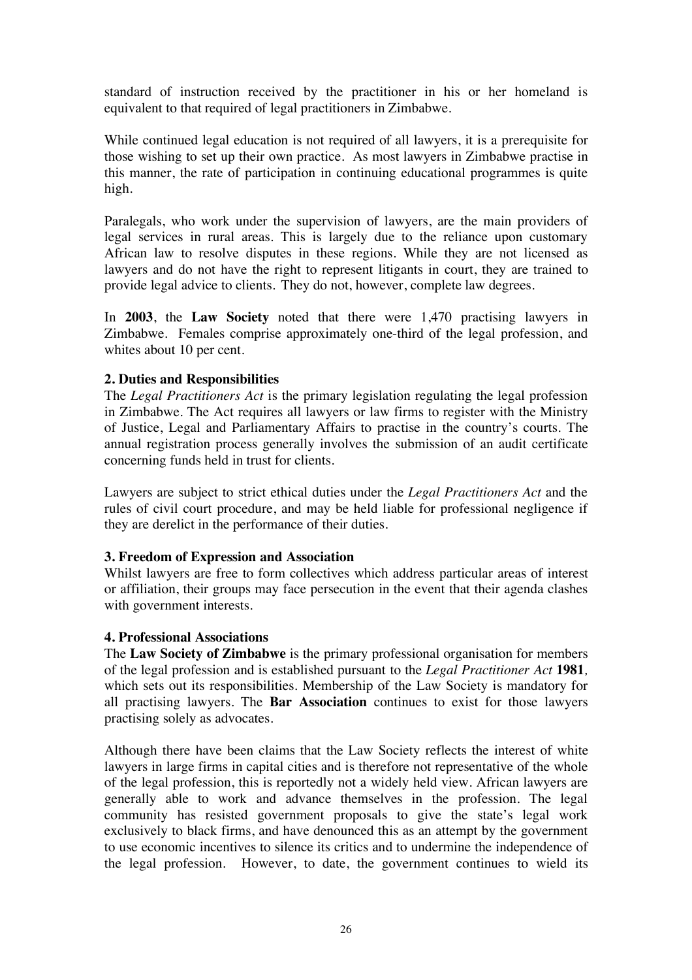standard of instruction received by the practitioner in his or her homeland is equivalent to that required of legal practitioners in Zimbabwe.

While continued legal education is not required of all lawyers, it is a prerequisite for those wishing to set up their own practice. As most lawyers in Zimbabwe practise in this manner, the rate of participation in continuing educational programmes is quite high.

Paralegals, who work under the supervision of lawyers, are the main providers of legal services in rural areas. This is largely due to the reliance upon customary African law to resolve disputes in these regions. While they are not licensed as lawyers and do not have the right to represent litigants in court, they are trained to provide legal advice to clients. They do not, however, complete law degrees.

In **2003**, the **Law Society** noted that there were 1,470 practising lawyers in Zimbabwe. Females comprise approximately one-third of the legal profession, and whites about 10 per cent.

# **2. Duties and Responsibilities**

The *Legal Practitioners Act* is the primary legislation regulating the legal profession in Zimbabwe. The Act requires all lawyers or law firms to register with the Ministry of Justice, Legal and Parliamentary Affairs to practise in the country's courts. The annual registration process generally involves the submission of an audit certificate concerning funds held in trust for clients.

Lawyers are subject to strict ethical duties under the *Legal Practitioners Act* and the rules of civil court procedure, and may be held liable for professional negligence if they are derelict in the performance of their duties.

## **3. Freedom of Expression and Association**

Whilst lawyers are free to form collectives which address particular areas of interest or affiliation, their groups may face persecution in the event that their agenda clashes with government interests.

## **4. Professional Associations**

The **Law Society of Zimbabwe** is the primary professional organisation for members of the legal profession and is established pursuant to the *Legal Practitioner Act* **1981***,*  which sets out its responsibilities. Membership of the Law Society is mandatory for all practising lawyers. The **Bar Association** continues to exist for those lawyers practising solely as advocates.

Although there have been claims that the Law Society reflects the interest of white lawyers in large firms in capital cities and is therefore not representative of the whole of the legal profession, this is reportedly not a widely held view. African lawyers are generally able to work and advance themselves in the profession. The legal community has resisted government proposals to give the state's legal work exclusively to black firms, and have denounced this as an attempt by the government to use economic incentives to silence its critics and to undermine the independence of the legal profession. However, to date, the government continues to wield its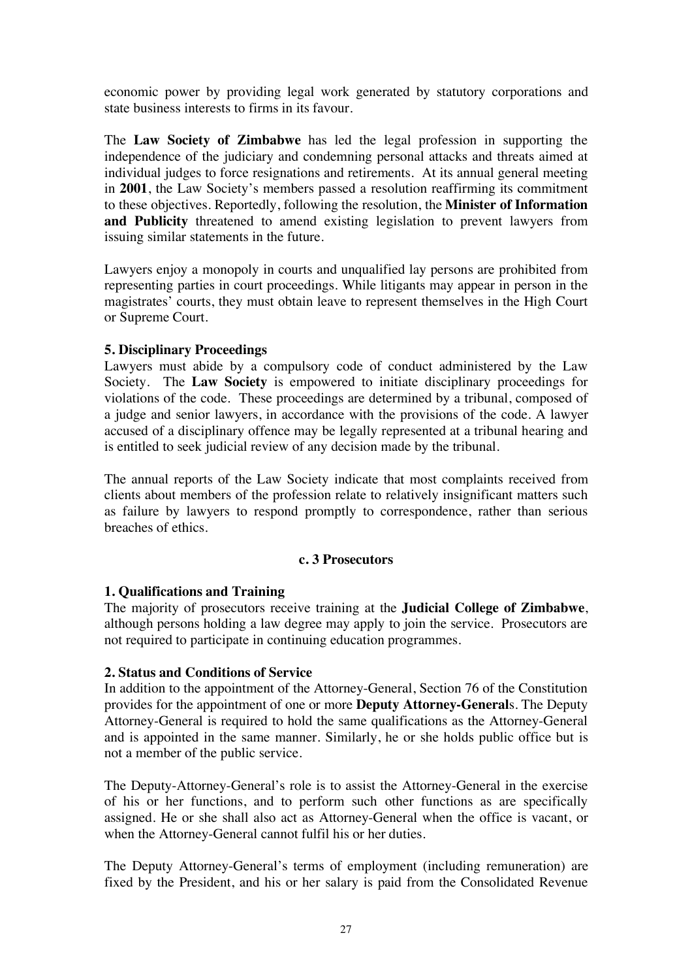economic power by providing legal work generated by statutory corporations and state business interests to firms in its favour.

The **Law Society of Zimbabwe** has led the legal profession in supporting the independence of the judiciary and condemning personal attacks and threats aimed at individual judges to force resignations and retirements. At its annual general meeting in **2001**, the Law Society's members passed a resolution reaffirming its commitment to these objectives. Reportedly, following the resolution, the **Minister of Information and Publicity** threatened to amend existing legislation to prevent lawyers from issuing similar statements in the future.

Lawyers enjoy a monopoly in courts and unqualified lay persons are prohibited from representing parties in court proceedings. While litigants may appear in person in the magistrates' courts, they must obtain leave to represent themselves in the High Court or Supreme Court.

# **5. Disciplinary Proceedings**

Lawyers must abide by a compulsory code of conduct administered by the Law Society. The **Law Society** is empowered to initiate disciplinary proceedings for violations of the code. These proceedings are determined by a tribunal, composed of a judge and senior lawyers, in accordance with the provisions of the code. A lawyer accused of a disciplinary offence may be legally represented at a tribunal hearing and is entitled to seek judicial review of any decision made by the tribunal.

The annual reports of the Law Society indicate that most complaints received from clients about members of the profession relate to relatively insignificant matters such as failure by lawyers to respond promptly to correspondence, rather than serious breaches of ethics.

## **c. 3 Prosecutors**

# **1. Qualifications and Training**

The majority of prosecutors receive training at the **Judicial College of Zimbabwe**, although persons holding a law degree may apply to join the service. Prosecutors are not required to participate in continuing education programmes.

# **2. Status and Conditions of Service**

In addition to the appointment of the Attorney-General, Section 76 of the Constitution provides for the appointment of one or more **Deputy Attorney-General**s. The Deputy Attorney-General is required to hold the same qualifications as the Attorney-General and is appointed in the same manner. Similarly, he or she holds public office but is not a member of the public service.

The Deputy-Attorney-General's role is to assist the Attorney-General in the exercise of his or her functions, and to perform such other functions as are specifically assigned. He or she shall also act as Attorney-General when the office is vacant, or when the Attorney-General cannot fulfil his or her duties.

The Deputy Attorney-General's terms of employment (including remuneration) are fixed by the President, and his or her salary is paid from the Consolidated Revenue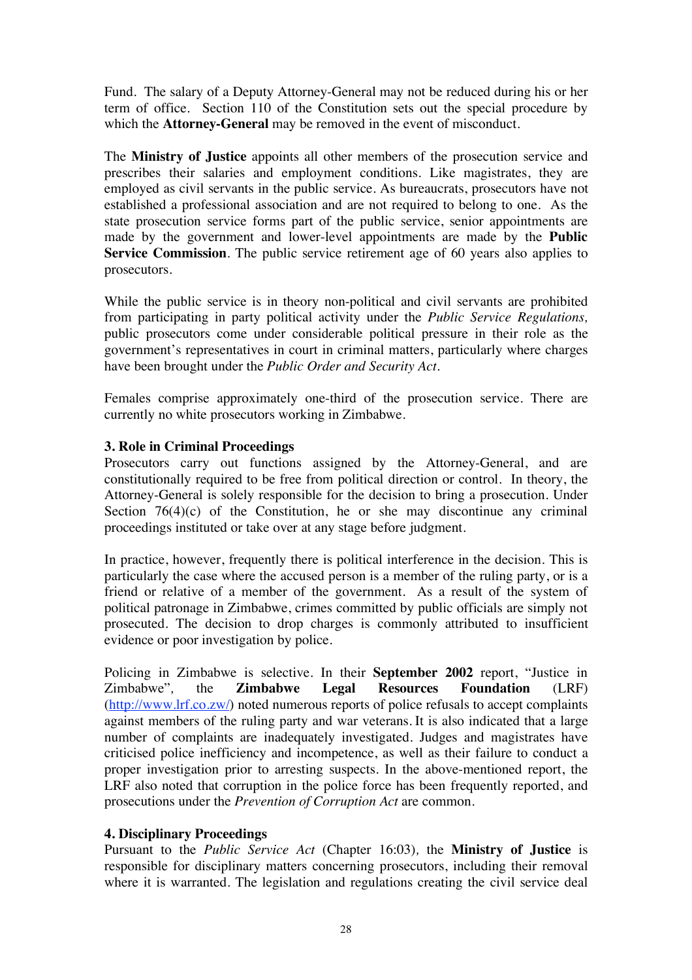Fund. The salary of a Deputy Attorney-General may not be reduced during his or her term of office. Section 110 of the Constitution sets out the special procedure by which the **Attorney-General** may be removed in the event of misconduct.

The **Ministry of Justice** appoints all other members of the prosecution service and prescribes their salaries and employment conditions. Like magistrates, they are employed as civil servants in the public service. As bureaucrats, prosecutors have not established a professional association and are not required to belong to one. As the state prosecution service forms part of the public service, senior appointments are made by the government and lower-level appointments are made by the **Public Service Commission**. The public service retirement age of 60 years also applies to prosecutors.

While the public service is in theory non-political and civil servants are prohibited from participating in party political activity under the *Public Service Regulations,* public prosecutors come under considerable political pressure in their role as the government's representatives in court in criminal matters, particularly where charges have been brought under the *Public Order and Security Act*.

Females comprise approximately one-third of the prosecution service. There are currently no white prosecutors working in Zimbabwe.

## **3. Role in Criminal Proceedings**

Prosecutors carry out functions assigned by the Attorney-General, and are constitutionally required to be free from political direction or control. In theory, the Attorney-General is solely responsible for the decision to bring a prosecution. Under Section  $76(4)(c)$  of the Constitution, he or she may discontinue any criminal proceedings instituted or take over at any stage before judgment.

In practice, however, frequently there is political interference in the decision. This is particularly the case where the accused person is a member of the ruling party, or is a friend or relative of a member of the government. As a result of the system of political patronage in Zimbabwe, crimes committed by public officials are simply not prosecuted. The decision to drop charges is commonly attributed to insufficient evidence or poor investigation by police.

Policing in Zimbabwe is selective. In their **September 2002** report, "Justice in Zimbabwe"*,* the **Zimbabwe Legal Resources Foundation** (LRF) (http://www.lrf.co.zw/) noted numerous reports of police refusals to accept complaints against members of the ruling party and war veterans. It is also indicated that a large number of complaints are inadequately investigated. Judges and magistrates have criticised police inefficiency and incompetence, as well as their failure to conduct a proper investigation prior to arresting suspects. In the above-mentioned report, the LRF also noted that corruption in the police force has been frequently reported, and prosecutions under the *Prevention of Corruption Act* are common.

## **4. Disciplinary Proceedings**

Pursuant to the *Public Service Act* (Chapter 16:03)*,* the **Ministry of Justice** is responsible for disciplinary matters concerning prosecutors, including their removal where it is warranted. The legislation and regulations creating the civil service deal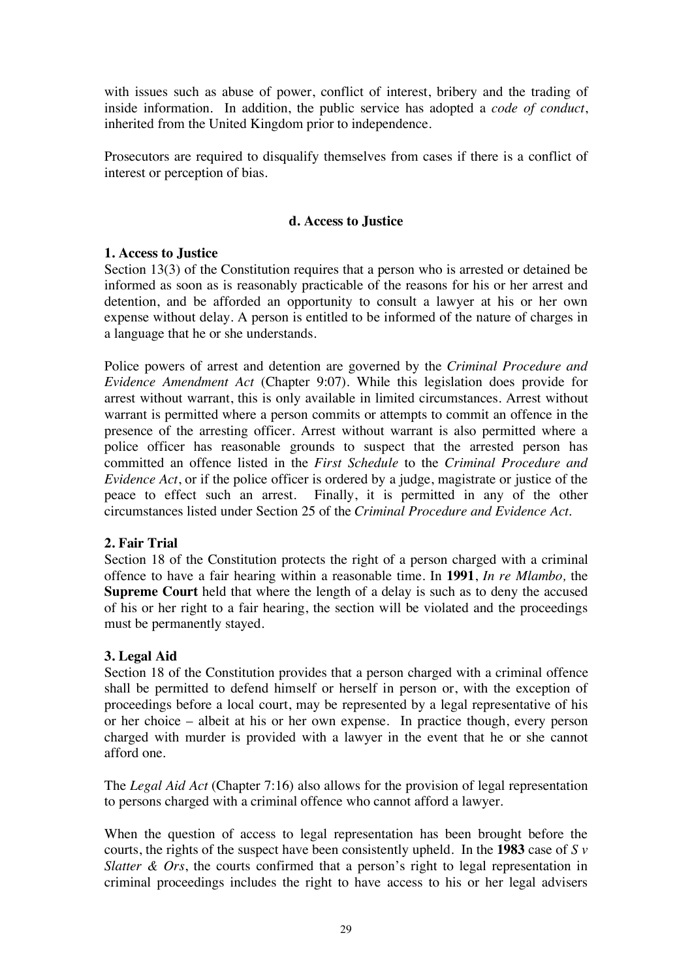with issues such as abuse of power, conflict of interest, bribery and the trading of inside information. In addition, the public service has adopted a *code of conduct*, inherited from the United Kingdom prior to independence.

Prosecutors are required to disqualify themselves from cases if there is a conflict of interest or perception of bias.

## **d. Access to Justice**

# **1. Access to Justice**

Section 13(3) of the Constitution requires that a person who is arrested or detained be informed as soon as is reasonably practicable of the reasons for his or her arrest and detention, and be afforded an opportunity to consult a lawyer at his or her own expense without delay. A person is entitled to be informed of the nature of charges in a language that he or she understands.

Police powers of arrest and detention are governed by the *Criminal Procedure and Evidence Amendment Act* (Chapter 9:07). While this legislation does provide for arrest without warrant, this is only available in limited circumstances. Arrest without warrant is permitted where a person commits or attempts to commit an offence in the presence of the arresting officer. Arrest without warrant is also permitted where a police officer has reasonable grounds to suspect that the arrested person has committed an offence listed in the *First Schedule* to the *Criminal Procedure and Evidence Act*, or if the police officer is ordered by a judge, magistrate or justice of the peace to effect such an arrest. Finally, it is permitted in any of the other circumstances listed under Section 25 of the *Criminal Procedure and Evidence Act.*

## **2. Fair Trial**

Section 18 of the Constitution protects the right of a person charged with a criminal offence to have a fair hearing within a reasonable time. In **1991**, *In re Mlambo,* the **Supreme Court** held that where the length of a delay is such as to deny the accused of his or her right to a fair hearing, the section will be violated and the proceedings must be permanently stayed.

# **3. Legal Aid**

Section 18 of the Constitution provides that a person charged with a criminal offence shall be permitted to defend himself or herself in person or, with the exception of proceedings before a local court, may be represented by a legal representative of his or her choice – albeit at his or her own expense. In practice though, every person charged with murder is provided with a lawyer in the event that he or she cannot afford one.

The *Legal Aid Act* (Chapter 7:16) also allows for the provision of legal representation to persons charged with a criminal offence who cannot afford a lawyer.

When the question of access to legal representation has been brought before the courts, the rights of the suspect have been consistently upheld. In the **1983** case of *S v Slatter & Ors*, the courts confirmed that a person's right to legal representation in criminal proceedings includes the right to have access to his or her legal advisers